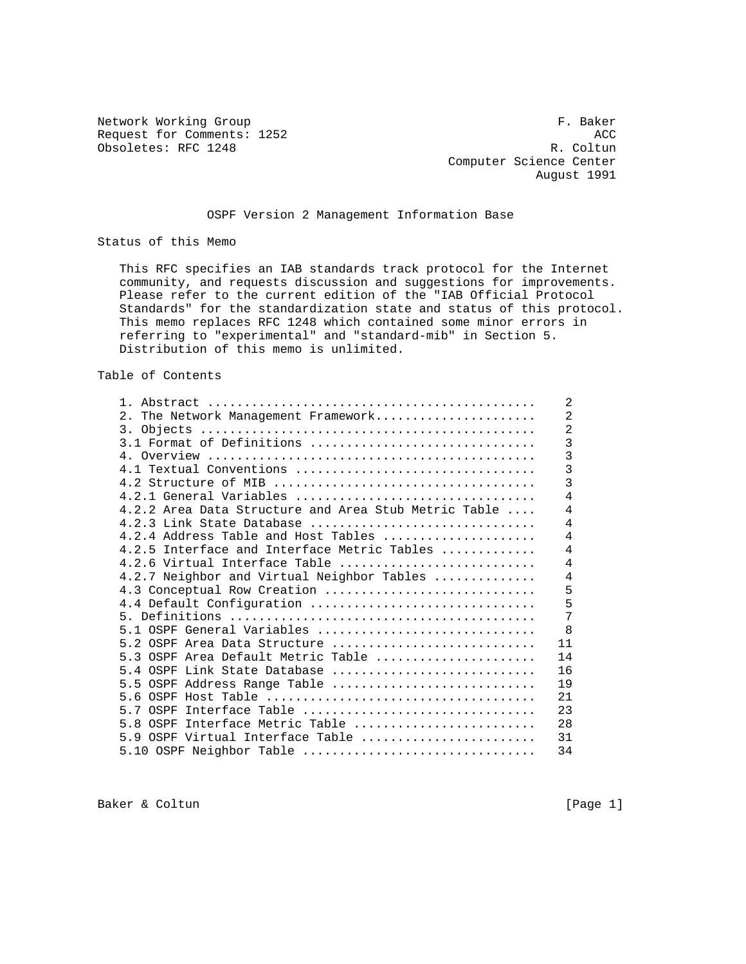Network Working Group **F. Baker** Request for Comments: 1252 ACC<br>
Obsoletes: RFC 1248 R. Coltun Obsoletes: RFC 1248

 Computer Science Center August 1991

### OSPF Version 2 Management Information Base

Status of this Memo

 This RFC specifies an IAB standards track protocol for the Internet community, and requests discussion and suggestions for improvements. Please refer to the current edition of the "IAB Official Protocol Standards" for the standardization state and status of this protocol. This memo replaces RFC 1248 which contained some minor errors in referring to "experimental" and "standard-mib" in Section 5. Distribution of this memo is unlimited.

Table of Contents

| $1$ .                                                | $\overline{2}$ |
|------------------------------------------------------|----------------|
| 2. The Network Management Framework                  | $\overline{2}$ |
|                                                      | $\overline{2}$ |
| $3.1$ Format of Definitions                          | $\overline{3}$ |
|                                                      | 3              |
| 4.1 Textual Conventions                              | 3              |
|                                                      | 3              |
| 4.2.1 General Variables                              | 4              |
| 4.2.2 Area Data Structure and Area Stub Metric Table | $\overline{4}$ |
| 4.2.3 Link State Database                            | $\overline{4}$ |
| $4.2.4$ Address Table and Host Tables                | $\overline{4}$ |
| 4.2.5 Interface and Interface Metric Tables          | $\overline{4}$ |
| 4.2.6 Virtual Interface Table                        | $\overline{4}$ |
| 4.2.7 Neighbor and Virtual Neighbor Tables           | $\overline{4}$ |
| 4.3 Conceptual Row Creation                          | 5              |
| 4.4 Default Configuration                            | 5              |
|                                                      | 7              |
| 5.1 OSPF General Variables                           | $\mathsf{R}$   |
| 5.2 OSPF Area Data Structure                         | 11             |
| 5.3 OSPF Area Default Metric Table                   | 14             |
| $5.4$ OSPF Link State Database                       | 16             |
| 5.5 OSPF Address Range Table                         | 19             |
|                                                      | 21             |
| 5.7 OSPF Interface Table                             | 23             |
| 5.8 OSPF Interface Metric Table                      | 28             |
| 5.9 OSPF Virtual Interface Table                     | 31             |
| 5.10 OSPF Neighbor Table                             | 34             |
|                                                      |                |

Baker & Coltun (Page 1)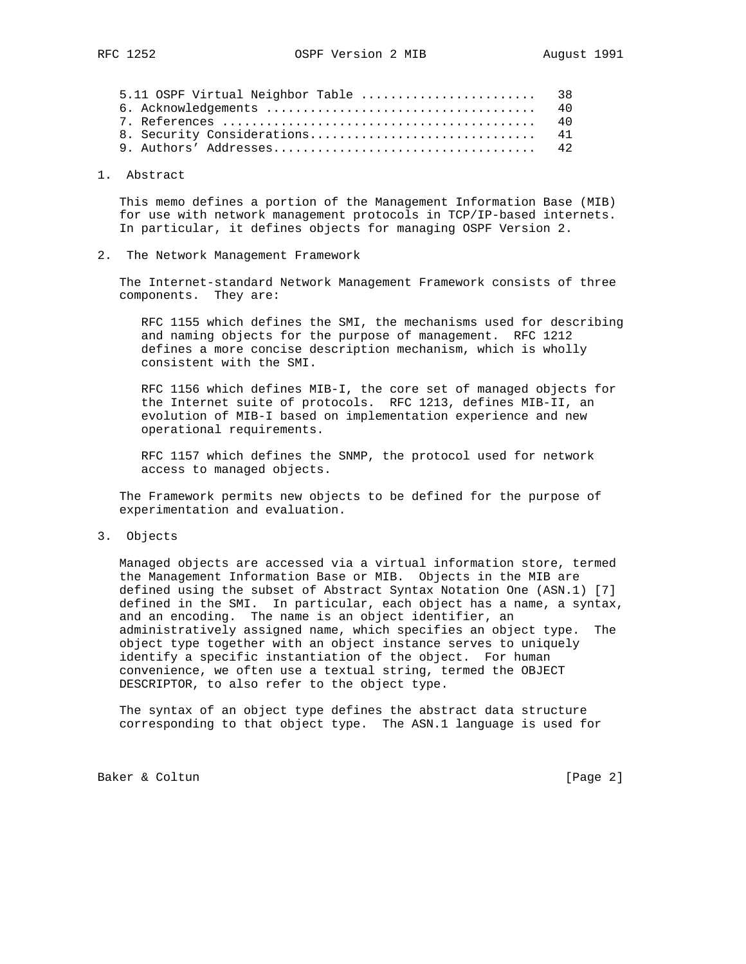| 5.11 OSPF Virtual Neighbor Table  38 |  |
|--------------------------------------|--|
|                                      |  |
|                                      |  |
|                                      |  |
|                                      |  |

#### 1. Abstract

 This memo defines a portion of the Management Information Base (MIB) for use with network management protocols in TCP/IP-based internets. In particular, it defines objects for managing OSPF Version 2.

2. The Network Management Framework

 The Internet-standard Network Management Framework consists of three components. They are:

 RFC 1155 which defines the SMI, the mechanisms used for describing and naming objects for the purpose of management. RFC 1212 defines a more concise description mechanism, which is wholly consistent with the SMI.

 RFC 1156 which defines MIB-I, the core set of managed objects for the Internet suite of protocols. RFC 1213, defines MIB-II, an evolution of MIB-I based on implementation experience and new operational requirements.

 RFC 1157 which defines the SNMP, the protocol used for network access to managed objects.

 The Framework permits new objects to be defined for the purpose of experimentation and evaluation.

3. Objects

 Managed objects are accessed via a virtual information store, termed the Management Information Base or MIB. Objects in the MIB are defined using the subset of Abstract Syntax Notation One (ASN.1) [7] defined in the SMI. In particular, each object has a name, a syntax, and an encoding. The name is an object identifier, an administratively assigned name, which specifies an object type. The object type together with an object instance serves to uniquely identify a specific instantiation of the object. For human convenience, we often use a textual string, termed the OBJECT DESCRIPTOR, to also refer to the object type.

 The syntax of an object type defines the abstract data structure corresponding to that object type. The ASN.1 language is used for

Baker & Coltun (Page 2)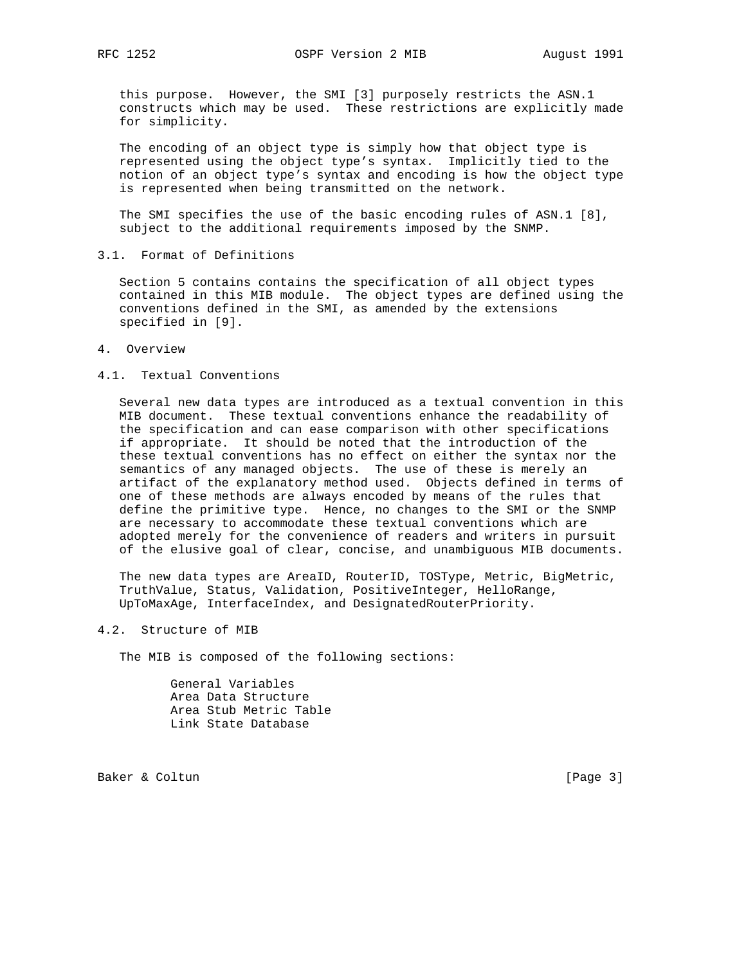this purpose. However, the SMI [3] purposely restricts the ASN.1 constructs which may be used. These restrictions are explicitly made for simplicity.

 The encoding of an object type is simply how that object type is represented using the object type's syntax. Implicitly tied to the notion of an object type's syntax and encoding is how the object type is represented when being transmitted on the network.

 The SMI specifies the use of the basic encoding rules of ASN.1 [8], subject to the additional requirements imposed by the SNMP.

3.1. Format of Definitions

 Section 5 contains contains the specification of all object types contained in this MIB module. The object types are defined using the conventions defined in the SMI, as amended by the extensions specified in [9].

- 4. Overview
- 4.1. Textual Conventions

 Several new data types are introduced as a textual convention in this MIB document. These textual conventions enhance the readability of the specification and can ease comparison with other specifications if appropriate. It should be noted that the introduction of the these textual conventions has no effect on either the syntax nor the semantics of any managed objects. The use of these is merely an artifact of the explanatory method used. Objects defined in terms of one of these methods are always encoded by means of the rules that define the primitive type. Hence, no changes to the SMI or the SNMP are necessary to accommodate these textual conventions which are adopted merely for the convenience of readers and writers in pursuit of the elusive goal of clear, concise, and unambiguous MIB documents.

The new data types are AreaID, RouterID, TOSType, Metric, BigMetric, TruthValue, Status, Validation, PositiveInteger, HelloRange, UpToMaxAge, InterfaceIndex, and DesignatedRouterPriority.

4.2. Structure of MIB

The MIB is composed of the following sections:

 General Variables Area Data Structure Area Stub Metric Table Link State Database

Baker & Coltun (Page 3)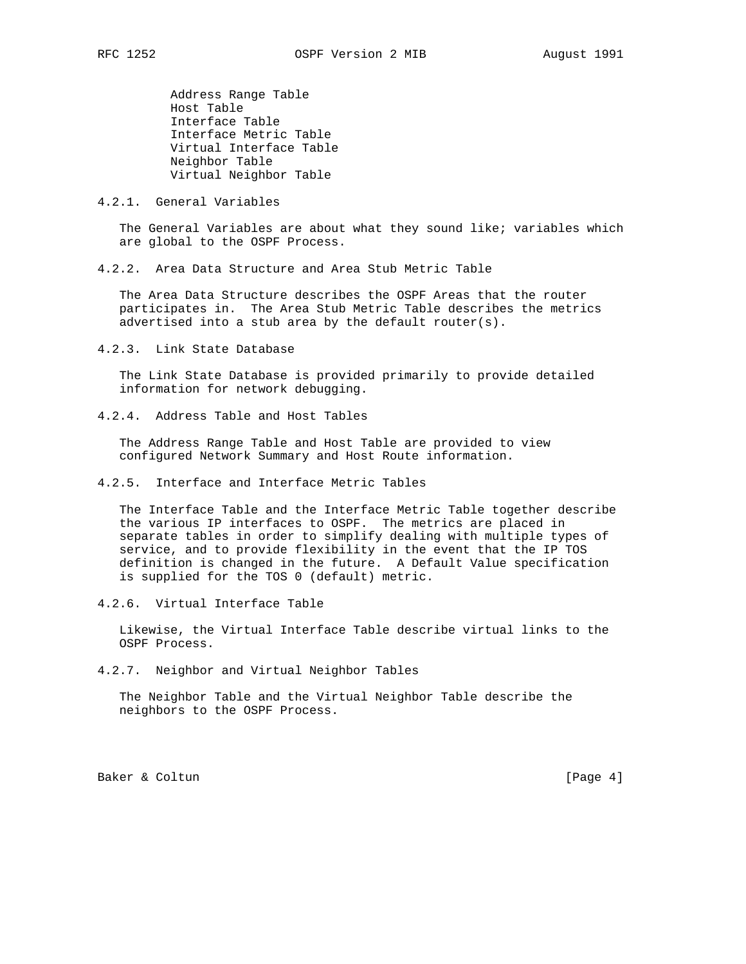Address Range Table Host Table Interface Table Interface Metric Table Virtual Interface Table Neighbor Table Virtual Neighbor Table

#### 4.2.1. General Variables

The General Variables are about what they sound like; variables which are global to the OSPF Process.

4.2.2. Area Data Structure and Area Stub Metric Table

 The Area Data Structure describes the OSPF Areas that the router participates in. The Area Stub Metric Table describes the metrics advertised into a stub area by the default router(s).

4.2.3. Link State Database

 The Link State Database is provided primarily to provide detailed information for network debugging.

4.2.4. Address Table and Host Tables

 The Address Range Table and Host Table are provided to view configured Network Summary and Host Route information.

4.2.5. Interface and Interface Metric Tables

 The Interface Table and the Interface Metric Table together describe the various IP interfaces to OSPF. The metrics are placed in separate tables in order to simplify dealing with multiple types of service, and to provide flexibility in the event that the IP TOS definition is changed in the future. A Default Value specification is supplied for the TOS 0 (default) metric.

4.2.6. Virtual Interface Table

 Likewise, the Virtual Interface Table describe virtual links to the OSPF Process.

4.2.7. Neighbor and Virtual Neighbor Tables

 The Neighbor Table and the Virtual Neighbor Table describe the neighbors to the OSPF Process.

Baker & Coltun (Page 4)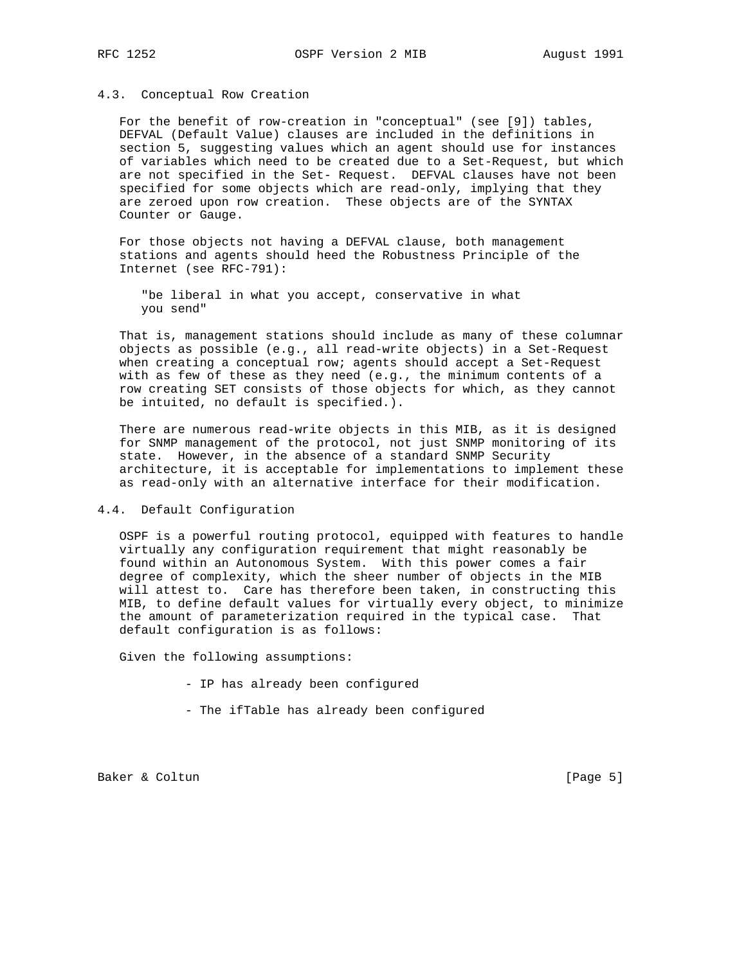#### 4.3. Conceptual Row Creation

 For the benefit of row-creation in "conceptual" (see [9]) tables, DEFVAL (Default Value) clauses are included in the definitions in section 5, suggesting values which an agent should use for instances of variables which need to be created due to a Set-Request, but which are not specified in the Set- Request. DEFVAL clauses have not been specified for some objects which are read-only, implying that they are zeroed upon row creation. These objects are of the SYNTAX Counter or Gauge.

 For those objects not having a DEFVAL clause, both management stations and agents should heed the Robustness Principle of the Internet (see RFC-791):

 "be liberal in what you accept, conservative in what you send"

 That is, management stations should include as many of these columnar objects as possible (e.g., all read-write objects) in a Set-Request when creating a conceptual row; agents should accept a Set-Request with as few of these as they need (e.g., the minimum contents of a row creating SET consists of those objects for which, as they cannot be intuited, no default is specified.).

 There are numerous read-write objects in this MIB, as it is designed for SNMP management of the protocol, not just SNMP monitoring of its state. However, in the absence of a standard SNMP Security architecture, it is acceptable for implementations to implement these as read-only with an alternative interface for their modification.

#### 4.4. Default Configuration

 OSPF is a powerful routing protocol, equipped with features to handle virtually any configuration requirement that might reasonably be found within an Autonomous System. With this power comes a fair degree of complexity, which the sheer number of objects in the MIB will attest to. Care has therefore been taken, in constructing this MIB, to define default values for virtually every object, to minimize the amount of parameterization required in the typical case. That default configuration is as follows:

Given the following assumptions:

- IP has already been configured
- The ifTable has already been configured

Baker & Coltun (Page 5)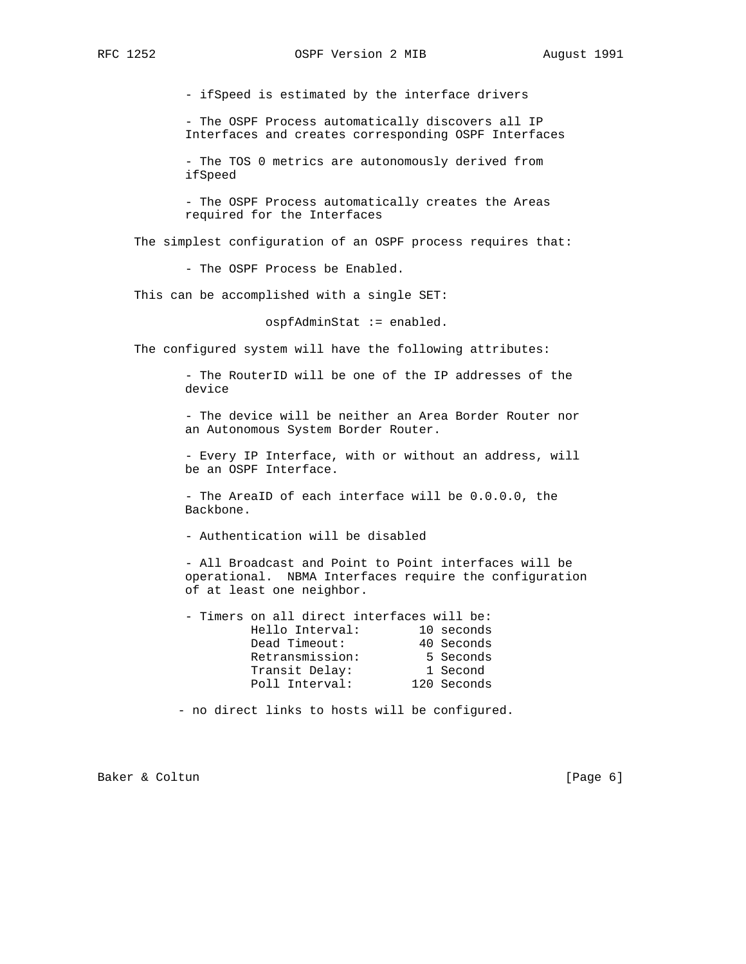- ifSpeed is estimated by the interface drivers

 - The OSPF Process automatically discovers all IP Interfaces and creates corresponding OSPF Interfaces

 - The TOS 0 metrics are autonomously derived from ifSpeed

 - The OSPF Process automatically creates the Areas required for the Interfaces

The simplest configuration of an OSPF process requires that:

- The OSPF Process be Enabled.

This can be accomplished with a single SET:

ospfAdminStat := enabled.

The configured system will have the following attributes:

 - The RouterID will be one of the IP addresses of the device

 - The device will be neither an Area Border Router nor an Autonomous System Border Router.

 - Every IP Interface, with or without an address, will be an OSPF Interface.

 - The AreaID of each interface will be 0.0.0.0, the Backbone.

- Authentication will be disabled

 - All Broadcast and Point to Point interfaces will be operational. NBMA Interfaces require the configuration of at least one neighbor.

| - Timers on all direct interfaces will be: |             |            |
|--------------------------------------------|-------------|------------|
| Hello Interval:                            |             | 10 seconds |
| Dead Timeout:                              |             | 40 Seconds |
| Retransmission:                            |             | 5 Seconds  |
| Transit Delay:                             |             | 1 Second   |
| Poll Interval:                             | 120 Seconds |            |

- no direct links to hosts will be configured.

Baker & Coltun (Page 6)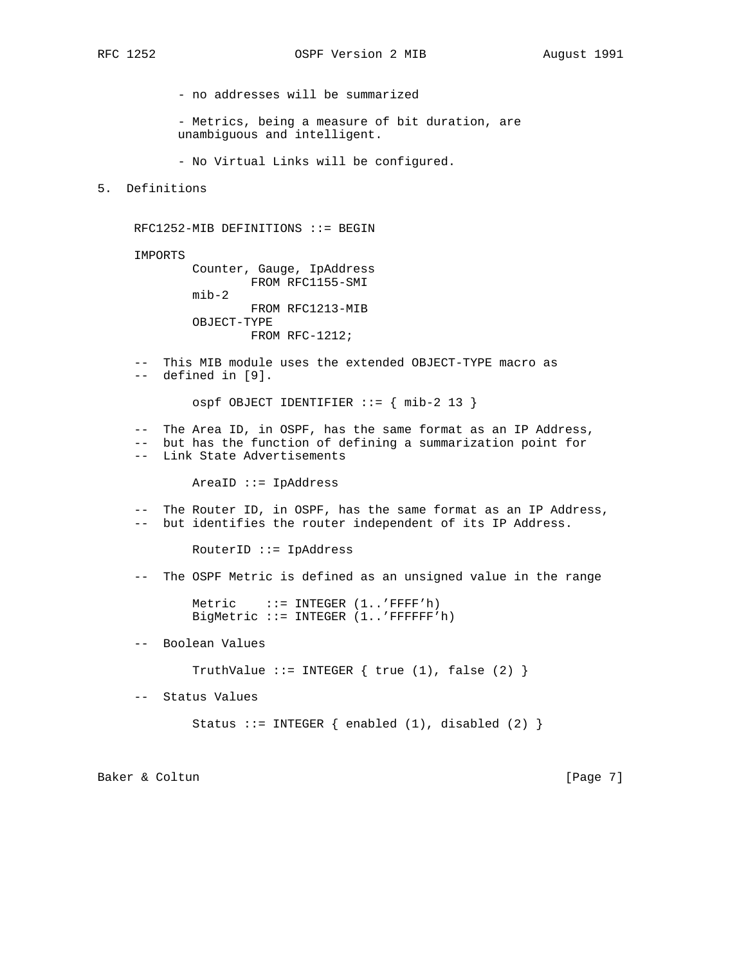- no addresses will be summarized

 - Metrics, being a measure of bit duration, are unambiguous and intelligent.

- No Virtual Links will be configured.

5. Definitions

RFC1252-MIB DEFINITIONS ::= BEGIN

IMPORTS

 Counter, Gauge, IpAddress FROM RFC1155-SMI mib-2 FROM RFC1213-MIB OBJECT-TYPE FROM RFC-1212;

 -- This MIB module uses the extended OBJECT-TYPE macro as -- defined in [9].

 $ospf$  OBJECT IDENTIFIER ::= { mib-2 13 }

 -- The Area ID, in OSPF, has the same format as an IP Address, -- but has the function of defining a summarization point for -- Link State Advertisements

AreaID ::= IpAddress

 -- The Router ID, in OSPF, has the same format as an IP Address, -- but identifies the router independent of its IP Address.

RouterID ::= IpAddress

-- The OSPF Metric is defined as an unsigned value in the range

Metric  $::=$  INTEGER  $(1.:$  FFFF'h) BigMetric ::= INTEGER (1..'FFFFFF'h)

-- Boolean Values

TruthValue ::= INTEGER  $\{$  true  $(1)$ , false  $(2)$   $\}$ 

-- Status Values

Status ::= INTEGER  $\{$  enabled  $(1)$ , disabled  $(2)$   $\}$ 

Baker & Coltun (Page 7)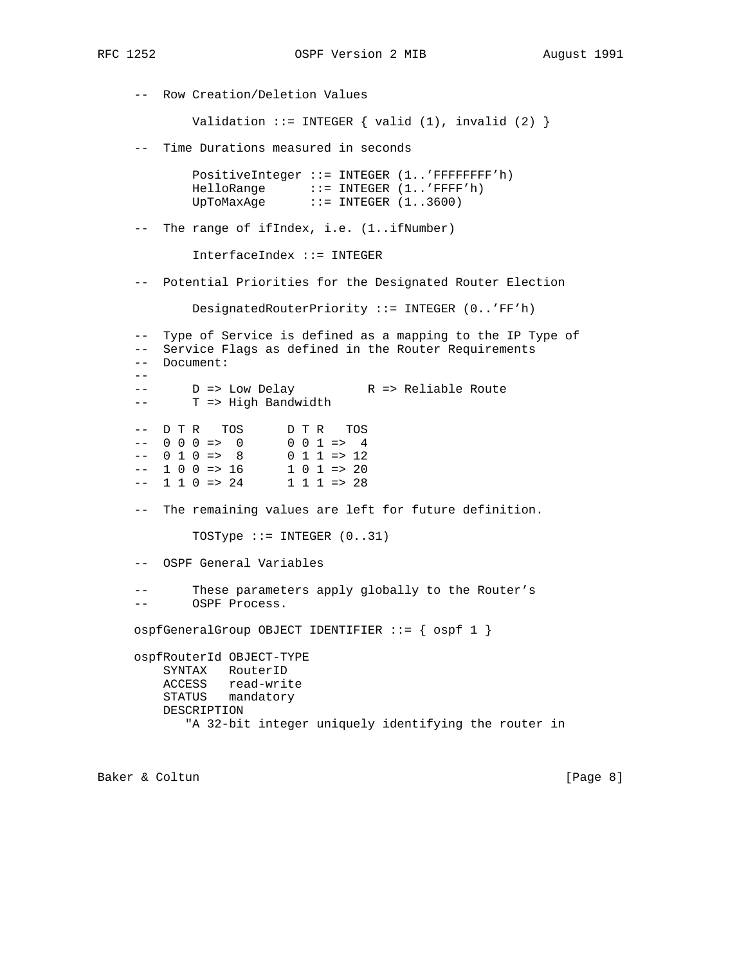-- Row Creation/Deletion Values Validation ::= INTEGER  $\{$  valid  $(1)$ , invalid  $(2)$   $\}$  -- Time Durations measured in seconds PositiveInteger ::= INTEGER (1..'FFFFFFFF'h) HelloRange ::= INTEGER (1..'FFFF'h) UpToMaxAge ::= INTEGER (1..3600) -- The range of ifIndex, i.e. (1..ifNumber) InterfaceIndex ::= INTEGER -- Potential Priorities for the Designated Router Election DesignatedRouterPriority ::= INTEGER (0..'FF'h) -- Type of Service is defined as a mapping to the IP Type of -- Service Flags as defined in the Router Requirements -- Document: -- -- D => Low Delay R => Reliable Route -- T => High Bandwidth -- D T R TOS D T R TOS<br>-- 0 0 0 => 0 0 0 0 1 => 4  $--$  0 0 0 => 0 0 0 1 => 4  $--$  0 1 0 => 8 0 1 1 => 12  $--$  1 0 0 => 16<br>-- 1 1 0 => 24  $1 \t0 \t1 \t>> 20$ <br> $1 \t1 \t1 \t>> 28$  -- The remaining values are left for future definition. TOSType  $::=$  INTEGER  $(0..31)$  -- OSPF General Variables These parameters apply globally to the Router's -- OSPF Process. ospfGeneralGroup OBJECT IDENTIFIER ::= { ospf 1 } ospfRouterId OBJECT-TYPE SYNTAX RouterID ACCESS read-write STATUS mandatory DESCRIPTION "A 32-bit integer uniquely identifying the router in

Baker & Coltun (Page 8)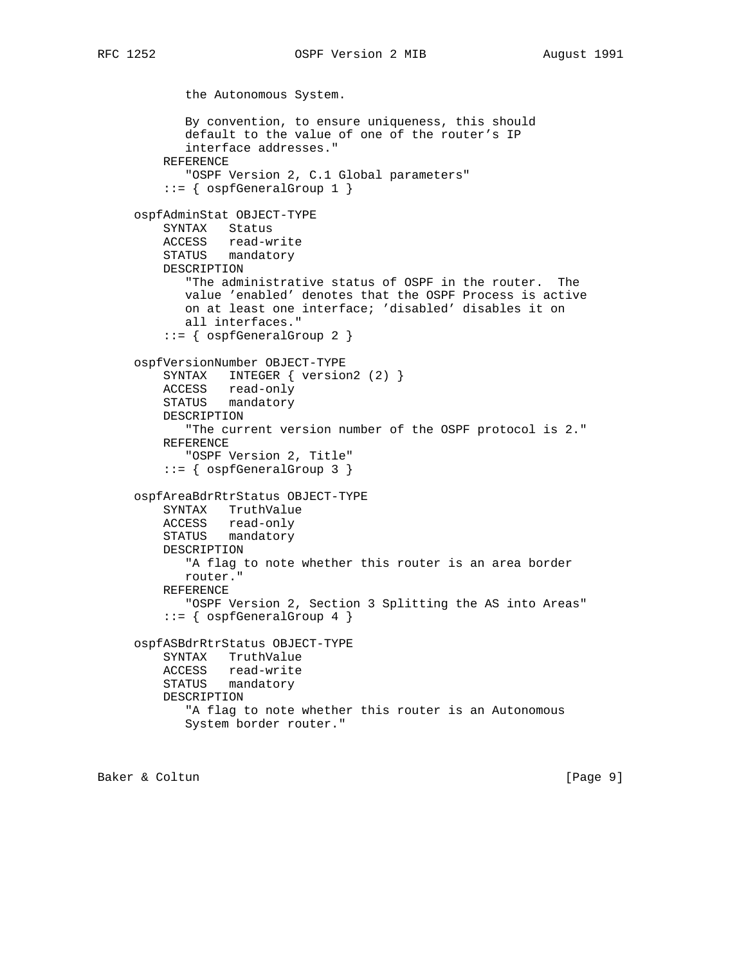```
 the Autonomous System.
        By convention, to ensure uniqueness, this should
        default to the value of one of the router's IP
        interface addresses."
     REFERENCE
        "OSPF Version 2, C.1 Global parameters"
    ::= { ospfGeneralGroup 1 }
 ospfAdminStat OBJECT-TYPE
     SYNTAX Status
     ACCESS read-write
     STATUS mandatory
     DESCRIPTION
        "The administrative status of OSPF in the router. The
       value 'enabled' denotes that the OSPF Process is active
       on at least one interface; 'disabled' disables it on
       all interfaces."
     ::= { ospfGeneralGroup 2 }
 ospfVersionNumber OBJECT-TYPE
     SYNTAX INTEGER { version2 (2) }
     ACCESS read-only
     STATUS mandatory
     DESCRIPTION
        "The current version number of the OSPF protocol is 2."
     REFERENCE
        "OSPF Version 2, Title"
     ::= { ospfGeneralGroup 3 }
 ospfAreaBdrRtrStatus OBJECT-TYPE
     SYNTAX TruthValue
     ACCESS read-only
     STATUS mandatory
     DESCRIPTION
       "A flag to note whether this router is an area border
       router."
     REFERENCE
        "OSPF Version 2, Section 3 Splitting the AS into Areas"
     ::= { ospfGeneralGroup 4 }
 ospfASBdrRtrStatus OBJECT-TYPE
     SYNTAX TruthValue
     ACCESS read-write
     STATUS mandatory
     DESCRIPTION
        "A flag to note whether this router is an Autonomous
       System border router."
```
Baker & Coltun (Page 9)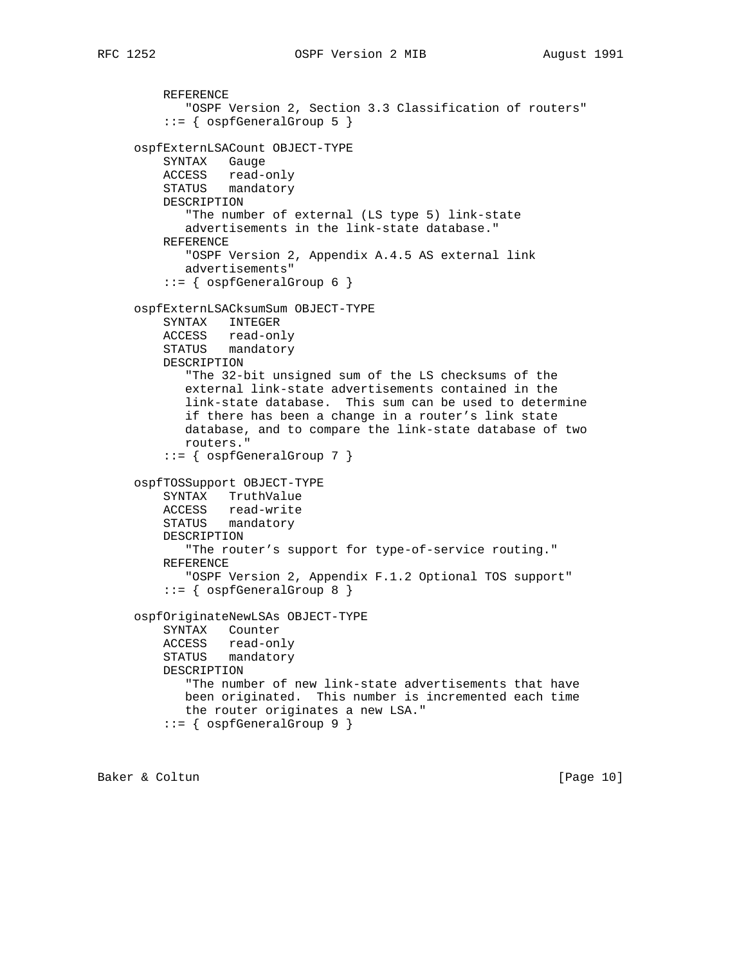```
 REFERENCE
        "OSPF Version 2, Section 3.3 Classification of routers"
     ::= { ospfGeneralGroup 5 }
 ospfExternLSACount OBJECT-TYPE
    SYNTAX Gauge
    ACCESS read-only
    STATUS mandatory
    DESCRIPTION
        "The number of external (LS type 5) link-state
       advertisements in the link-state database."
    REFERENCE
        "OSPF Version 2, Appendix A.4.5 AS external link
       advertisements"
     ::= { ospfGeneralGroup 6 }
 ospfExternLSACksumSum OBJECT-TYPE
    SYNTAX INTEGER
    ACCESS read-only
    STATUS mandatory
    DESCRIPTION
        "The 32-bit unsigned sum of the LS checksums of the
       external link-state advertisements contained in the
       link-state database. This sum can be used to determine
       if there has been a change in a router's link state
       database, and to compare the link-state database of two
       routers."
     ::= { ospfGeneralGroup 7 }
 ospfTOSSupport OBJECT-TYPE
    SYNTAX TruthValue
    ACCESS read-write
    STATUS mandatory
    DESCRIPTION
        "The router's support for type-of-service routing."
    REFERENCE
       "OSPF Version 2, Appendix F.1.2 Optional TOS support"
     ::= { ospfGeneralGroup 8 }
 ospfOriginateNewLSAs OBJECT-TYPE
    SYNTAX Counter
    ACCESS read-only
    STATUS mandatory
    DESCRIPTION
        "The number of new link-state advertisements that have
       been originated. This number is incremented each time
       the router originates a new LSA."
     ::= { ospfGeneralGroup 9 }
```
Baker & Coltun (Page 10)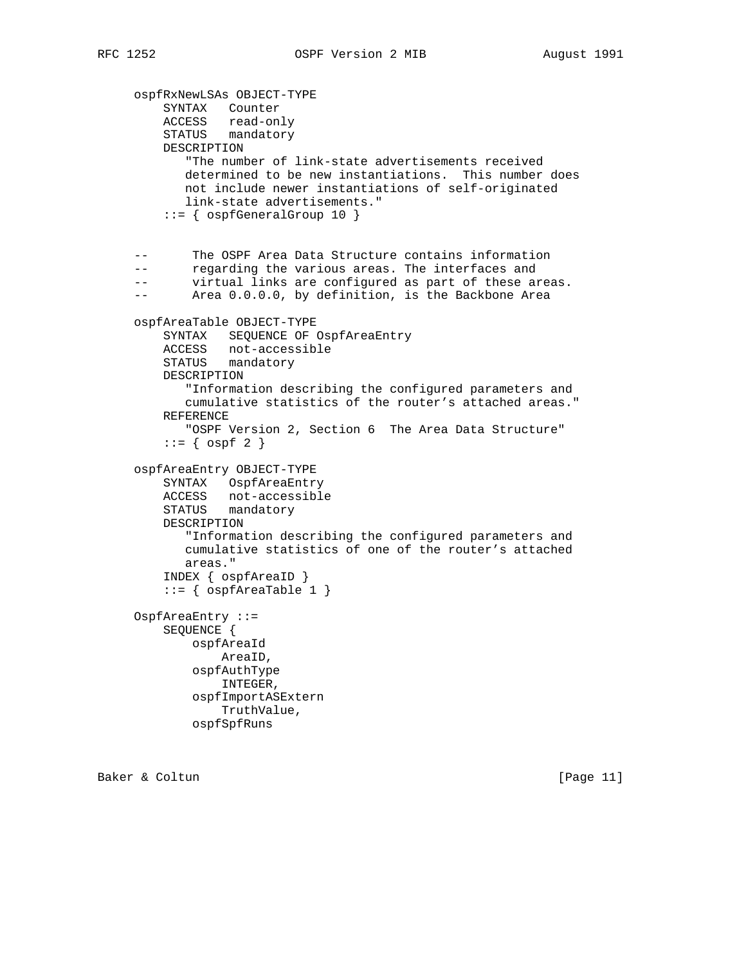ospfRxNewLSAs OBJECT-TYPE SYNTAX Counter ACCESS read-only STATUS mandatory DESCRIPTION "The number of link-state advertisements received determined to be new instantiations. This number does not include newer instantiations of self-originated link-state advertisements." ::= { ospfGeneralGroup 10 } -- The OSPF Area Data Structure contains information -- regarding the various areas. The interfaces and -- virtual links are configured as part of these areas. -- Area 0.0.0.0, by definition, is the Backbone Area ospfAreaTable OBJECT-TYPE SYNTAX SEQUENCE OF OspfAreaEntry ACCESS not-accessible STATUS mandatory DESCRIPTION "Information describing the configured parameters and cumulative statistics of the router's attached areas." REFERENCE "OSPF Version 2, Section 6 The Area Data Structure"  $::=$  {  $ospf 2$  } ospfAreaEntry OBJECT-TYPE SYNTAX OspfAreaEntry ACCESS not-accessible STATUS mandatory DESCRIPTION "Information describing the configured parameters and cumulative statistics of one of the router's attached areas." INDEX { ospfAreaID }  $::=$  {  $ospfAreaTable 1$  } OspfAreaEntry ::= SEQUENCE { ospfAreaId AreaID, ospfAuthType INTEGER, ospfImportASExtern TruthValue, ospfSpfRuns

Baker & Coltun (Page 11)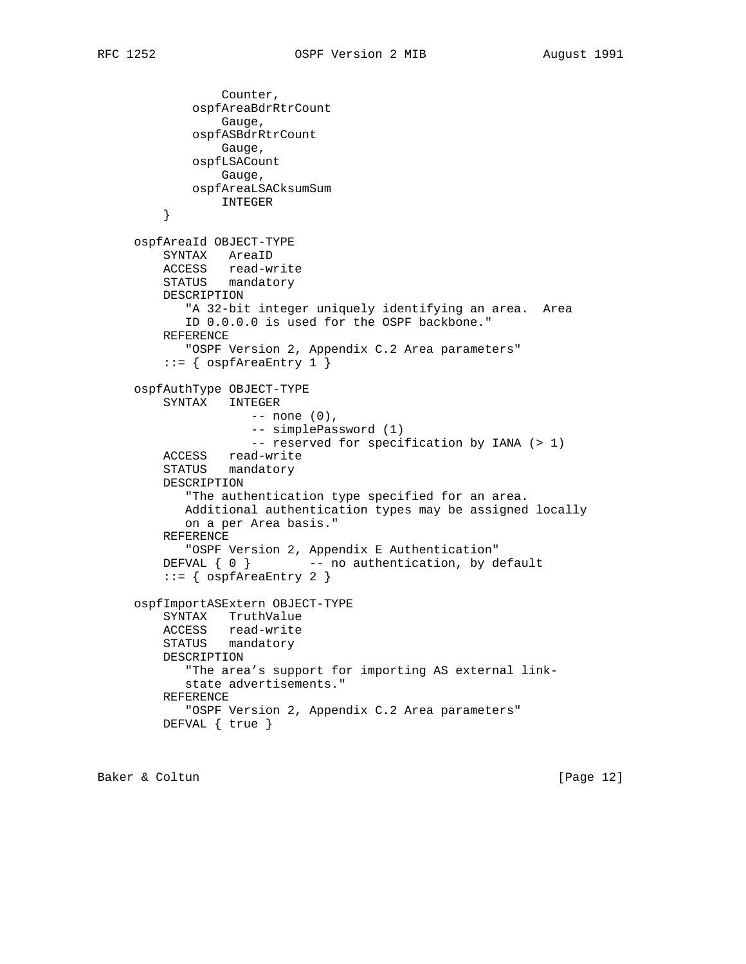```
 Counter,
             ospfAreaBdrRtrCount
                 Gauge,
             ospfASBdrRtrCount
                 Gauge,
             ospfLSACount
                 Gauge,
             ospfAreaLSACksumSum
         INTEGER
 }
     ospfAreaId OBJECT-TYPE
         SYNTAX AreaID
 ACCESS read-write
 STATUS mandatory
         DESCRIPTION
            "A 32-bit integer uniquely identifying an area. Area
            ID 0.0.0.0 is used for the OSPF backbone."
         REFERENCE
            "OSPF Version 2, Appendix C.2 Area parameters"
        ::= { ospfAreaEntry 1 }
     ospfAuthType OBJECT-TYPE
         SYNTAX INTEGER
                     -- none (0),
                     -- simplePassword (1)
                    -- reserved for specification by IANA (> 1)
         ACCESS read-write
         STATUS mandatory
         DESCRIPTION
            "The authentication type specified for an area.
            Additional authentication types may be assigned locally
            on a per Area basis."
         REFERENCE
            "OSPF Version 2, Appendix E Authentication"
        DEFVAL \{ 0 \} -- no authentication, by default
         ::= { ospfAreaEntry 2 }
     ospfImportASExtern OBJECT-TYPE
         SYNTAX TruthValue
         ACCESS read-write
         STATUS mandatory
         DESCRIPTION
            "The area's support for importing AS external link-
            state advertisements."
         REFERENCE
            "OSPF Version 2, Appendix C.2 Area parameters"
         DEFVAL { true }
```
Baker & Coltun (Page 12)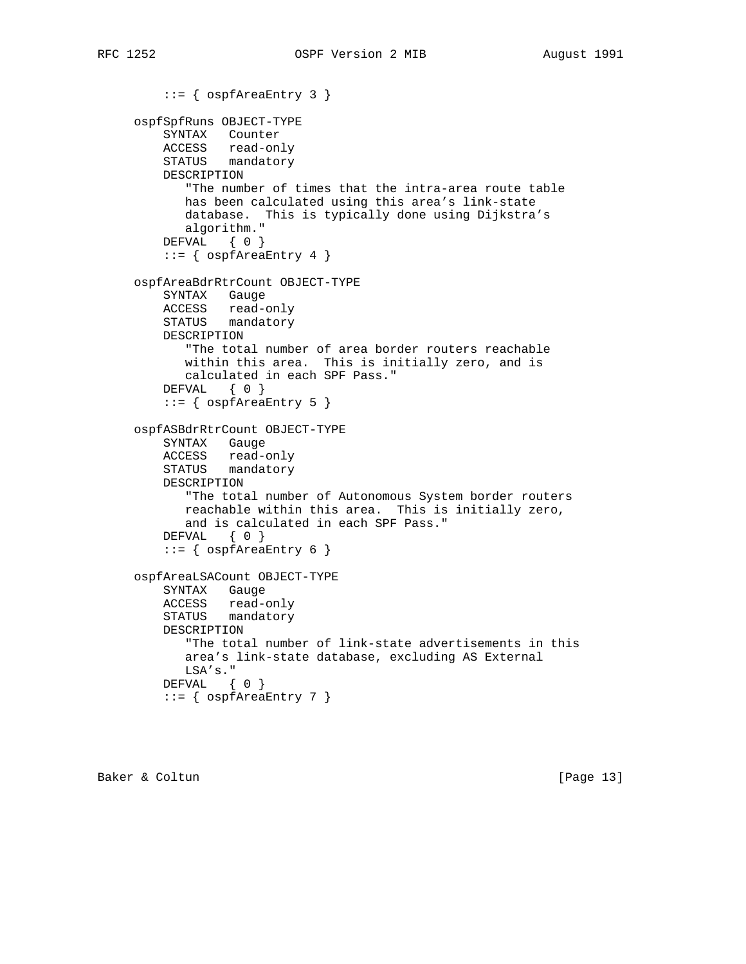```
 ::= { ospfAreaEntry 3 }
     ospfSpfRuns OBJECT-TYPE
         SYNTAX Counter
         ACCESS read-only
         STATUS mandatory
         DESCRIPTION
            "The number of times that the intra-area route table
            has been calculated using this area's link-state
            database. This is typically done using Dijkstra's
            algorithm."
         DEFVAL { 0 }
         ::= { ospfAreaEntry 4 }
     ospfAreaBdrRtrCount OBJECT-TYPE
         SYNTAX Gauge
         ACCESS read-only
         STATUS mandatory
         DESCRIPTION
            "The total number of area border routers reachable
            within this area. This is initially zero, and is
            calculated in each SPF Pass."
         DEFVAL { 0 }
         ::= { ospfAreaEntry 5 }
     ospfASBdrRtrCount OBJECT-TYPE
 SYNTAX Gauge
 ACCESS read-only
         STATUS mandatory
         DESCRIPTION
            "The total number of Autonomous System border routers
            reachable within this area. This is initially zero,
            and is calculated in each SPF Pass."
         DEFVAL { 0 }
         ::= { ospfAreaEntry 6 }
     ospfAreaLSACount OBJECT-TYPE
         SYNTAX Gauge
         ACCESS read-only
         STATUS mandatory
         DESCRIPTION
            "The total number of link-state advertisements in this
            area's link-state database, excluding AS External
            LSA's."
         DEFVAL { 0 }
        ::= { ospfAreaEntry 7 }
```
Baker & Coltun [Page 13]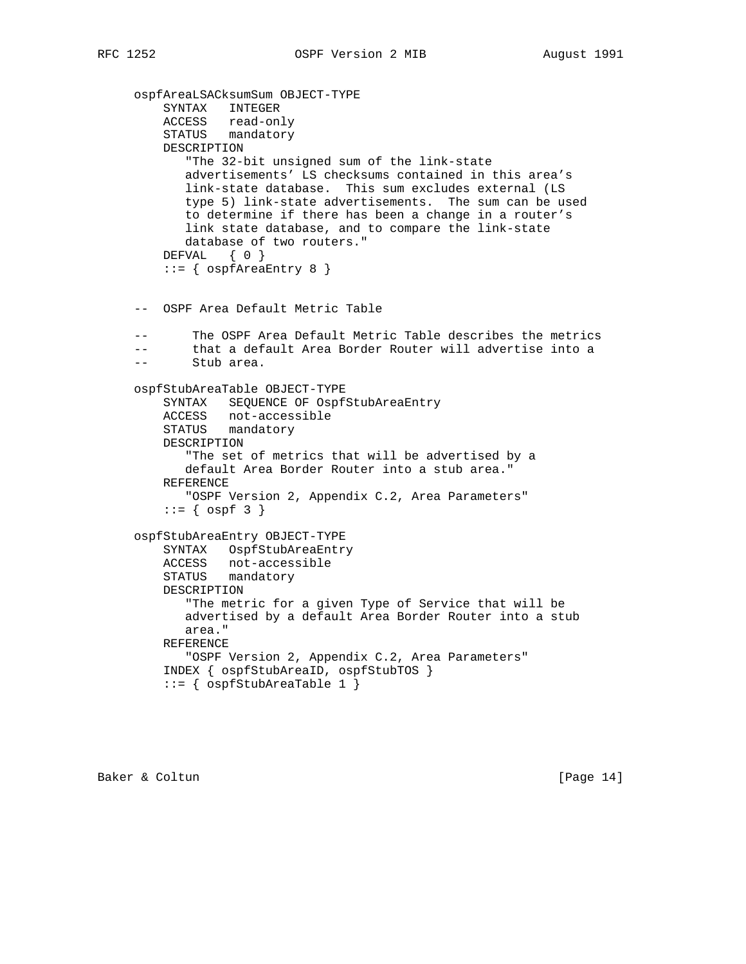```
 ospfAreaLSACksumSum OBJECT-TYPE
         SYNTAX INTEGER
 ACCESS read-only
 STATUS mandatory
         DESCRIPTION
            "The 32-bit unsigned sum of the link-state
            advertisements' LS checksums contained in this area's
            link-state database. This sum excludes external (LS
            type 5) link-state advertisements. The sum can be used
            to determine if there has been a change in a router's
            link state database, and to compare the link-state
            database of two routers."
        DEFVAL { 0 }
         ::= { ospfAreaEntry 8 }
     -- OSPF Area Default Metric Table
     -- The OSPF Area Default Metric Table describes the metrics
     -- that a default Area Border Router will advertise into a
     -- Stub area.
     ospfStubAreaTable OBJECT-TYPE
         SYNTAX SEQUENCE OF OspfStubAreaEntry
         ACCESS not-accessible
         STATUS mandatory
         DESCRIPTION
            "The set of metrics that will be advertised by a
            default Area Border Router into a stub area."
         REFERENCE
            "OSPF Version 2, Appendix C.2, Area Parameters"
        ::= { ospf 3 }
     ospfStubAreaEntry OBJECT-TYPE
         SYNTAX OspfStubAreaEntry
         ACCESS not-accessible
         STATUS mandatory
         DESCRIPTION
            "The metric for a given Type of Service that will be
            advertised by a default Area Border Router into a stub
            area."
         REFERENCE
            "OSPF Version 2, Appendix C.2, Area Parameters"
         INDEX { ospfStubAreaID, ospfStubTOS }
        ::= { ospfStubAreaTable 1 }
```
Baker & Coltun (Page 14)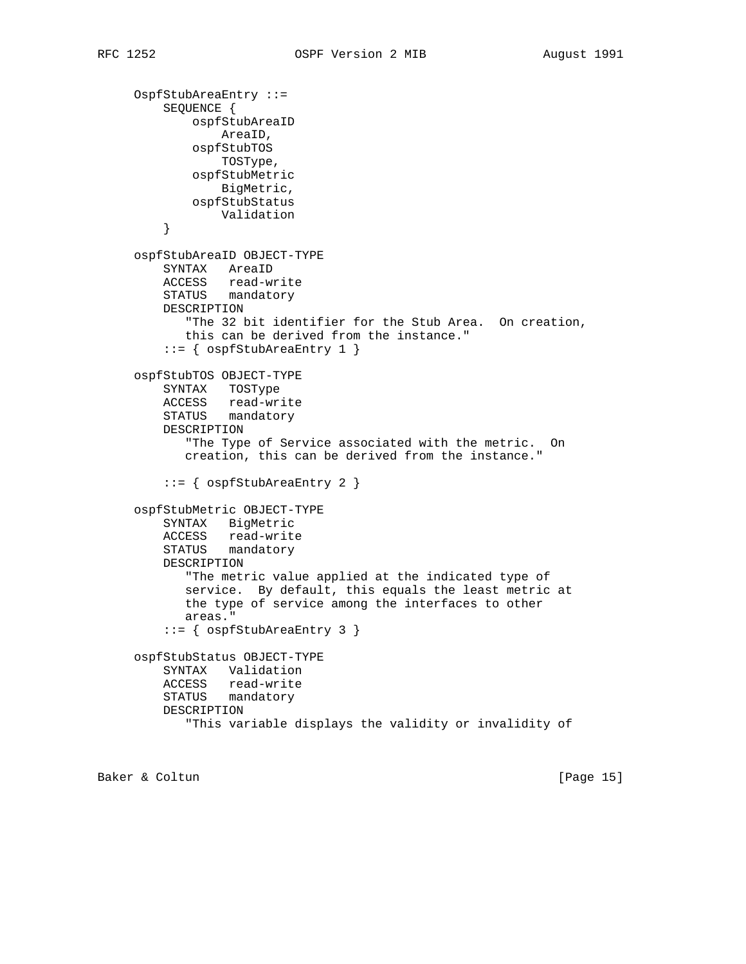```
 OspfStubAreaEntry ::=
         SEQUENCE {
             ospfStubAreaID
                 AreaID,
             ospfStubTOS
                 TOSType,
             ospfStubMetric
                 BigMetric,
             ospfStubStatus
         Validation<br>}
 }
     ospfStubAreaID OBJECT-TYPE
         SYNTAX AreaID
         ACCESS read-write
         STATUS mandatory
         DESCRIPTION
            "The 32 bit identifier for the Stub Area. On creation,
            this can be derived from the instance."
          ::= { ospfStubAreaEntry 1 }
     ospfStubTOS OBJECT-TYPE
         SYNTAX TOSType
         ACCESS read-write
         STATUS mandatory
         DESCRIPTION
             "The Type of Service associated with the metric. On
            creation, this can be derived from the instance."
          ::= { ospfStubAreaEntry 2 }
     ospfStubMetric OBJECT-TYPE
         SYNTAX BigMetric
         ACCESS read-write
         STATUS mandatory
         DESCRIPTION
            "The metric value applied at the indicated type of
            service. By default, this equals the least metric at
            the type of service among the interfaces to other
            areas."
          ::= { ospfStubAreaEntry 3 }
     ospfStubStatus OBJECT-TYPE
         SYNTAX Validation
         ACCESS read-write
         STATUS mandatory
         DESCRIPTION
             "This variable displays the validity or invalidity of
```
Baker & Coltun [Page 15]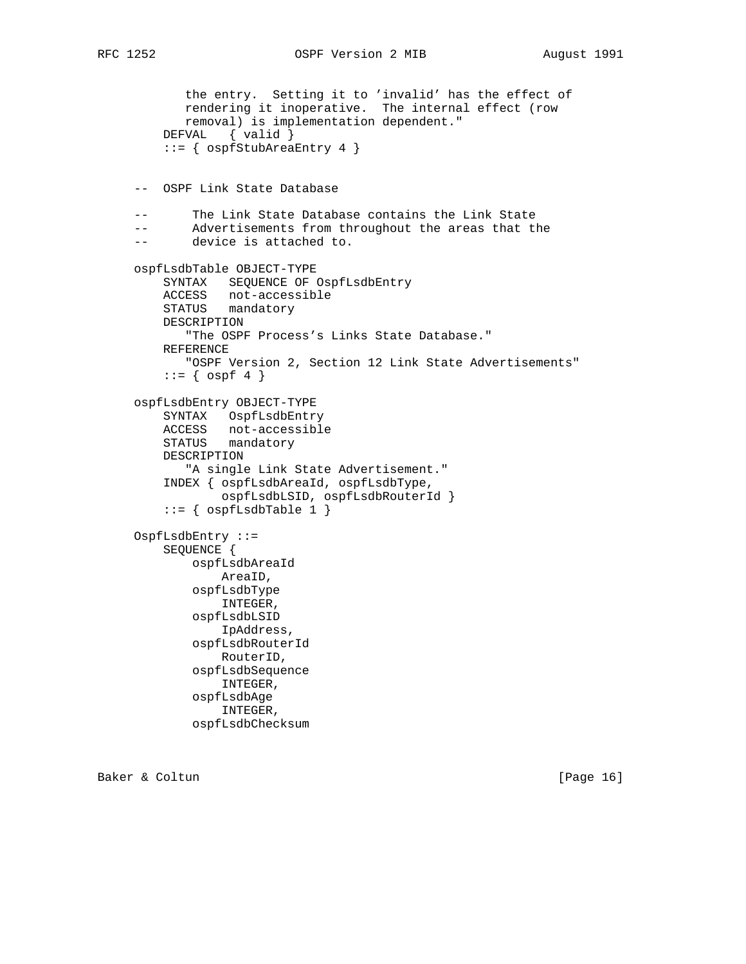```
 the entry. Setting it to 'invalid' has the effect of
            rendering it inoperative. The internal effect (row
            removal) is implementation dependent."
         DEFVAL { valid }
         ::= { ospfStubAreaEntry 4 }
     -- OSPF Link State Database
     -- The Link State Database contains the Link State
     -- Advertisements from throughout the areas that the
     -- device is attached to.
     ospfLsdbTable OBJECT-TYPE
         SYNTAX SEQUENCE OF OspfLsdbEntry
 ACCESS not-accessible
 STATUS mandatory
         DESCRIPTION
            "The OSPF Process's Links State Database."
         REFERENCE
            "OSPF Version 2, Section 12 Link State Advertisements"
        ::= { ospf 4 }
     ospfLsdbEntry OBJECT-TYPE
         SYNTAX OspfLsdbEntry
 ACCESS not-accessible
 STATUS mandatory
         DESCRIPTION
            "A single Link State Advertisement."
         INDEX { ospfLsdbAreaId, ospfLsdbType,
                 ospfLsdbLSID, ospfLsdbRouterId }
        ::= { ospfLsdbTable 1 }
     OspfLsdbEntry ::=
         SEQUENCE {
             ospfLsdbAreaId
                 AreaID,
             ospfLsdbType
                 INTEGER,
             ospfLsdbLSID
                 IpAddress,
             ospfLsdbRouterId
                 RouterID,
             ospfLsdbSequence
                 INTEGER,
             ospfLsdbAge
                 INTEGER,
             ospfLsdbChecksum
```
Baker & Coltun [Page 16]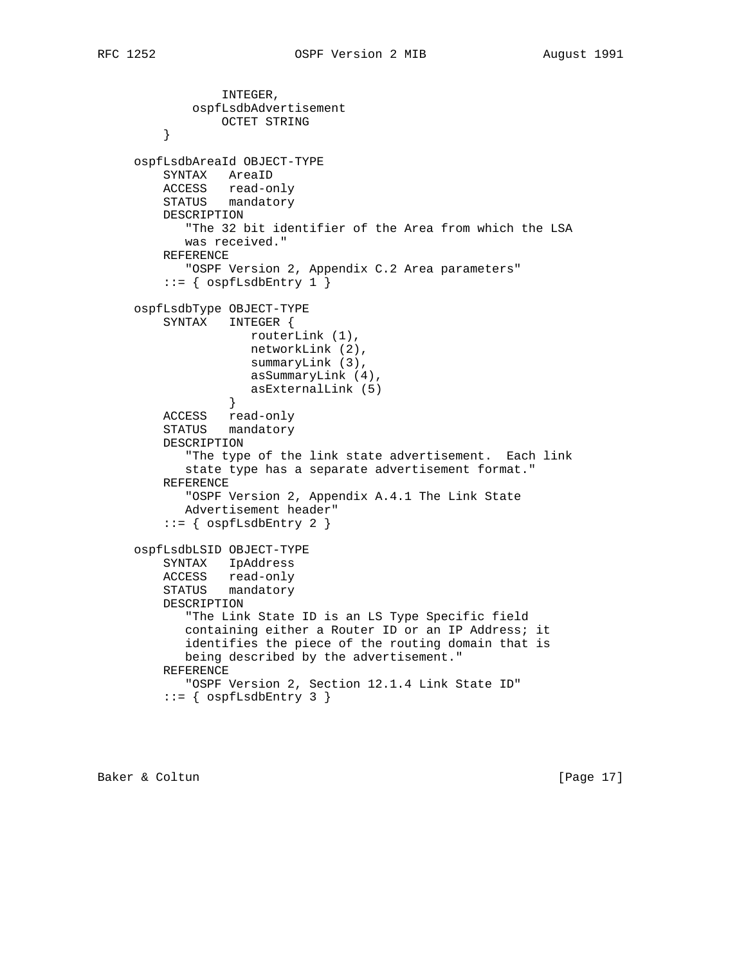```
 INTEGER,
             ospfLsdbAdvertisement
                 OCTET STRING
 }
     ospfLsdbAreaId OBJECT-TYPE
         SYNTAX AreaID
         ACCESS read-only
         STATUS mandatory
         DESCRIPTION
            "The 32 bit identifier of the Area from which the LSA
            was received."
         REFERENCE
            "OSPF Version 2, Appendix C.2 Area parameters"
         ::= { ospfLsdbEntry 1 }
     ospfLsdbType OBJECT-TYPE
         SYNTAX INTEGER {
                     routerLink (1),
                     networkLink (2),
                     summaryLink (3),
                     asSummaryLink (4),
                 asExternalLink (5)<br>}
 }
         ACCESS read-only
         STATUS mandatory
         DESCRIPTION
            "The type of the link state advertisement. Each link
            state type has a separate advertisement format."
         REFERENCE
            "OSPF Version 2, Appendix A.4.1 The Link State
            Advertisement header"
         ::= { ospfLsdbEntry 2 }
     ospfLsdbLSID OBJECT-TYPE
         SYNTAX IpAddress
         ACCESS read-only
         STATUS mandatory
         DESCRIPTION
            "The Link State ID is an LS Type Specific field
            containing either a Router ID or an IP Address; it
            identifies the piece of the routing domain that is
            being described by the advertisement."
         REFERENCE
            "OSPF Version 2, Section 12.1.4 Link State ID"
         ::= { ospfLsdbEntry 3 }
```
Baker & Coltun (Page 17)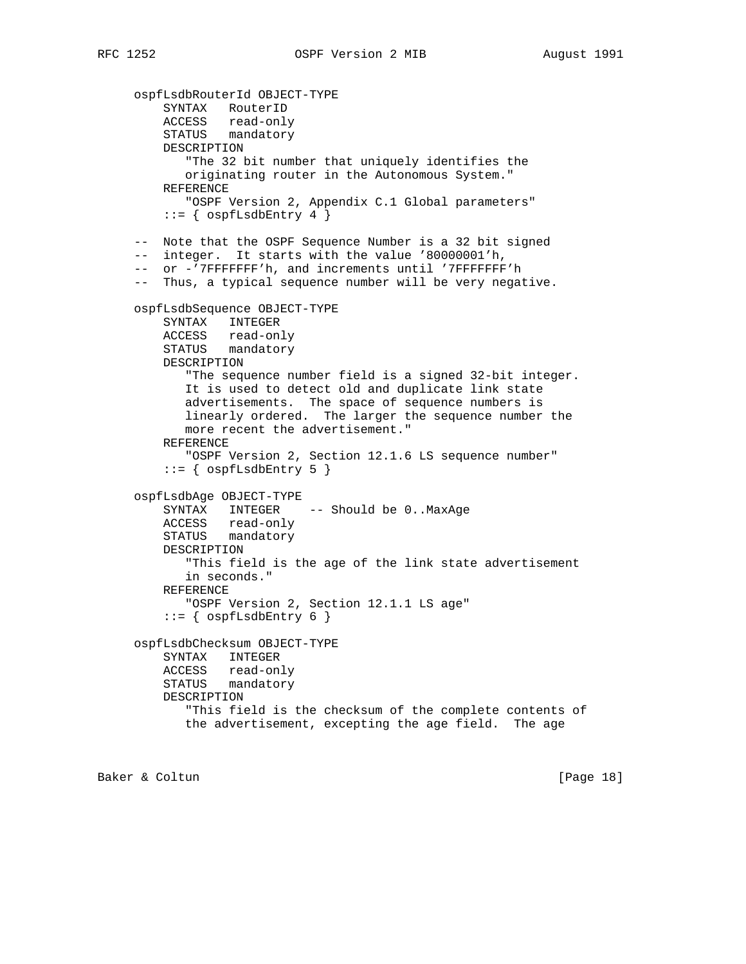ospfLsdbRouterId OBJECT-TYPE SYNTAX RouterID ACCESS read-only STATUS mandatory DESCRIPTION "The 32 bit number that uniquely identifies the originating router in the Autonomous System." REFERENCE "OSPF Version 2, Appendix C.1 Global parameters"  $::=$  {  $ospfLsdbEntry 4$  } -- Note that the OSPF Sequence Number is a 32 bit signed -- integer. It starts with the value '80000001'h, -- or -'7FFFFFFF'h, and increments until '7FFFFFFF'h -- Thus, a typical sequence number will be very negative. ospfLsdbSequence OBJECT-TYPE SYNTAX INTEGER ACCESS read-only STATUS mandatory DESCRIPTION "The sequence number field is a signed 32-bit integer. It is used to detect old and duplicate link state advertisements. The space of sequence numbers is linearly ordered. The larger the sequence number the more recent the advertisement." REFERENCE "OSPF Version 2, Section 12.1.6 LS sequence number"  $::= \{$  ospfLsdbEntry 5  $\}$  ospfLsdbAge OBJECT-TYPE SYNTAX INTEGER -- Should be 0..MaxAge ACCESS read-only STATUS mandatory DESCRIPTION "This field is the age of the link state advertisement in seconds." REFERENCE "OSPF Version 2, Section 12.1.1 LS age"  $::=$  {  $ospfLsdbEntry 6$  } ospfLsdbChecksum OBJECT-TYPE SYNTAX INTEGER ACCESS read-only STATUS mandatory DESCRIPTION "This field is the checksum of the complete contents of the advertisement, excepting the age field. The age

Baker & Coltun [Page 18]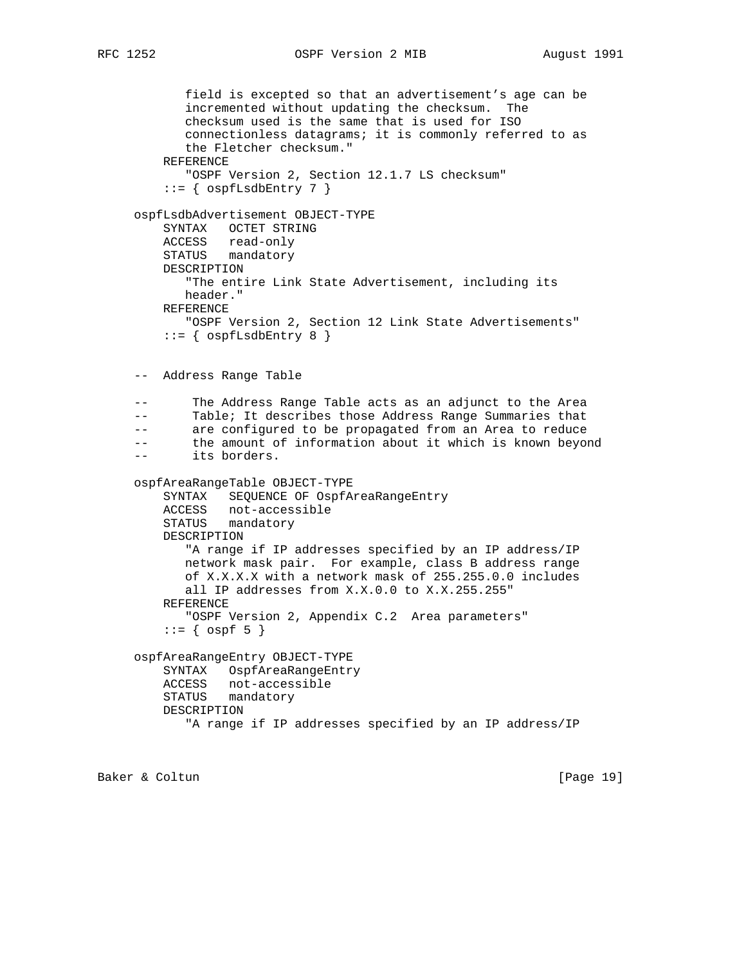```
 field is excepted so that an advertisement's age can be
 incremented without updating the checksum. The
 checksum used is the same that is used for ISO
 connectionless datagrams; it is commonly referred to as
 the Fletcher checksum."
```

```
 REFERENCE
    "OSPF Version 2, Section 12.1.7 LS checksum"
::= { ospfLsdbEntry 7 }
```
# ospfLsdbAdvertisement OBJECT-TYPE

```
 SYNTAX OCTET STRING
 ACCESS read-only
 STATUS mandatory
 DESCRIPTION
    "The entire Link State Advertisement, including its
   header."
 REFERENCE
   "OSPF Version 2, Section 12 Link State Advertisements"
```

```
::= { ospfLsdbEntry 8 }
```
-- Address Range Table

 -- The Address Range Table acts as an adjunct to the Area -- Table; It describes those Address Range Summaries that

-- are configured to be propagated from an Area to reduce

-- the amount of information about it which is known beyond

```
 -- its borders.
```

```
 ospfAreaRangeTable OBJECT-TYPE
     SYNTAX SEQUENCE OF OspfAreaRangeEntry
     ACCESS not-accessible
     STATUS mandatory
     DESCRIPTION
        "A range if IP addresses specified by an IP address/IP
        network mask pair. For example, class B address range
        of X.X.X.X with a network mask of 255.255.0.0 includes
        all IP addresses from X.X.0.0 to X.X.255.255"
     REFERENCE
        "OSPF Version 2, Appendix C.2 Area parameters"
    ::= \{ \text{ ospf } 5 \} ospfAreaRangeEntry OBJECT-TYPE
     SYNTAX OspfAreaRangeEntry
     ACCESS not-accessible
     STATUS mandatory
     DESCRIPTION
        "A range if IP addresses specified by an IP address/IP
```

```
Baker & Coltun [Page 19]
```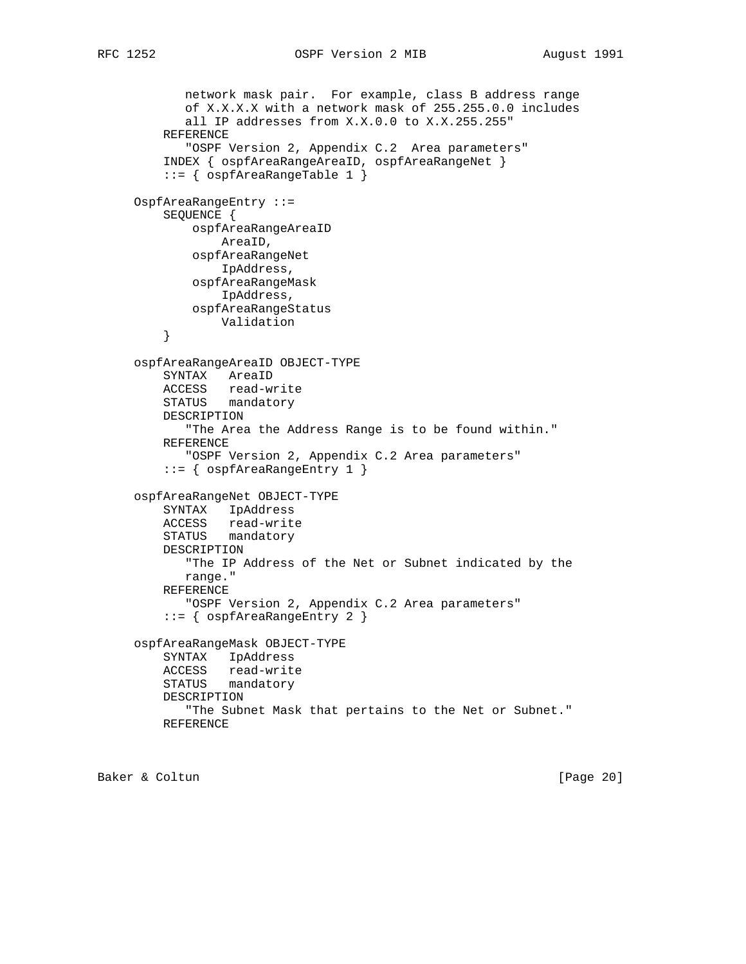```
 network mask pair. For example, class B address range
             of X.X.X.X with a network mask of 255.255.0.0 includes
            all IP addresses from X.X.0.0 to X.X.255.255"
         REFERENCE
             "OSPF Version 2, Appendix C.2 Area parameters"
          INDEX { ospfAreaRangeAreaID, ospfAreaRangeNet }
          ::= { ospfAreaRangeTable 1 }
     OspfAreaRangeEntry ::=
         SEQUENCE {
              ospfAreaRangeAreaID
                 AreaID,
              ospfAreaRangeNet
                 IpAddress,
              ospfAreaRangeMask
                 IpAddress,
              ospfAreaRangeStatus
         Validation<br>}
 }
      ospfAreaRangeAreaID OBJECT-TYPE
         SYNTAX AreaID
         ACCESS read-write
         STATUS mandatory
         DESCRIPTION
             "The Area the Address Range is to be found within."
         REFERENCE
             "OSPF Version 2, Appendix C.2 Area parameters"
          ::= { ospfAreaRangeEntry 1 }
     ospfAreaRangeNet OBJECT-TYPE
         SYNTAX IpAddress
         ACCESS read-write
         STATUS mandatory
         DESCRIPTION
            "The IP Address of the Net or Subnet indicated by the
            range."
         REFERENCE
            "OSPF Version 2, Appendix C.2 Area parameters"
          ::= { ospfAreaRangeEntry 2 }
     ospfAreaRangeMask OBJECT-TYPE
         SYNTAX IpAddress
         ACCESS read-write
         STATUS mandatory
         DESCRIPTION
             "The Subnet Mask that pertains to the Net or Subnet."
         REFERENCE
```
Baker & Coltun (Page 20)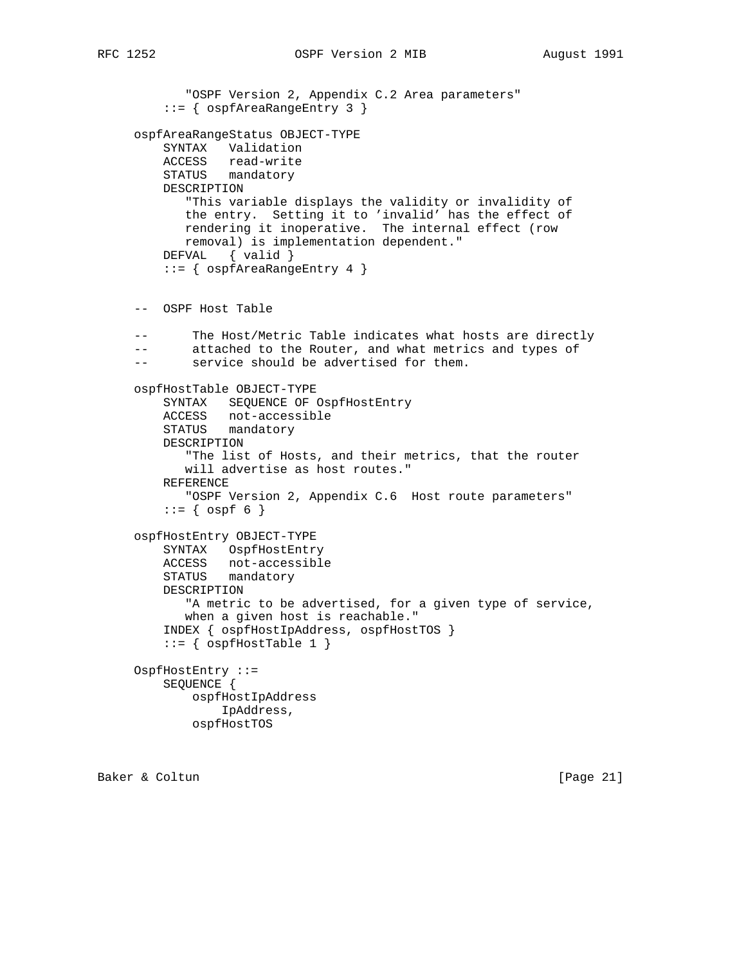```
 "OSPF Version 2, Appendix C.2 Area parameters"
     ::= { ospfAreaRangeEntry 3 }
 ospfAreaRangeStatus OBJECT-TYPE
    SYNTAX Validation
    ACCESS read-write
    STATUS mandatory
    DESCRIPTION
        "This variable displays the validity or invalidity of
       the entry. Setting it to 'invalid' has the effect of
       rendering it inoperative. The internal effect (row
       removal) is implementation dependent."
   DEFVAL { valid }
     ::= { ospfAreaRangeEntry 4 }
 -- OSPF Host Table
 -- The Host/Metric Table indicates what hosts are directly
 -- attached to the Router, and what metrics and types of
 -- service should be advertised for them.
 ospfHostTable OBJECT-TYPE
    SYNTAX SEQUENCE OF OspfHostEntry
    ACCESS not-accessible
    STATUS mandatory
    DESCRIPTION
        "The list of Hosts, and their metrics, that the router
       will advertise as host routes."
    REFERENCE
       "OSPF Version 2, Appendix C.6 Host route parameters"
    ::= { ospf 6 }
 ospfHostEntry OBJECT-TYPE
    SYNTAX OspfHostEntry
    ACCESS not-accessible
    STATUS mandatory
    DESCRIPTION
       "A metric to be advertised, for a given type of service,
       when a given host is reachable."
     INDEX { ospfHostIpAddress, ospfHostTOS }
    ::= { ospfHostTable 1 }
 OspfHostEntry ::=
    SEQUENCE {
         ospfHostIpAddress
             IpAddress,
        ospfHostTOS
```
Baker & Coltun (Page 21)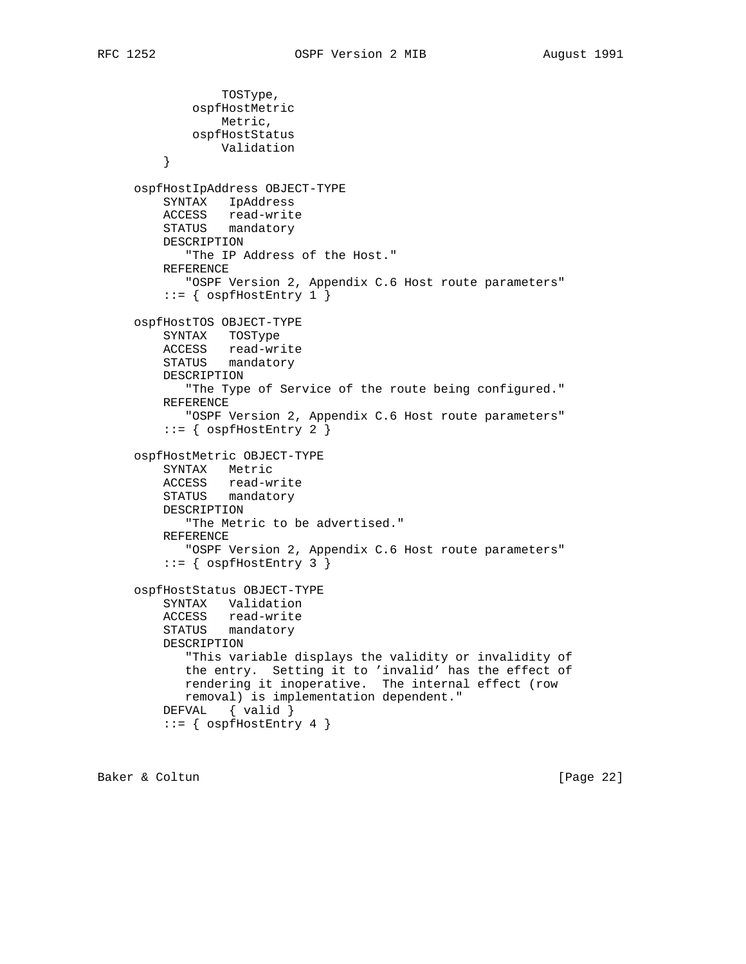```
 TOSType,
             ospfHostMetric
                 Metric,
             ospfHostStatus
                 Validation
 }
     ospfHostIpAddress OBJECT-TYPE
         SYNTAX IpAddress
         ACCESS read-write
         STATUS mandatory
         DESCRIPTION
            "The IP Address of the Host."
         REFERENCE
            "OSPF Version 2, Appendix C.6 Host route parameters"
         ::= { ospfHostEntry 1 }
     ospfHostTOS OBJECT-TYPE
         SYNTAX TOSType
         ACCESS read-write
         STATUS mandatory
         DESCRIPTION
            "The Type of Service of the route being configured."
         REFERENCE
            "OSPF Version 2, Appendix C.6 Host route parameters"
         ::= { ospfHostEntry 2 }
     ospfHostMetric OBJECT-TYPE
         SYNTAX Metric
         ACCESS read-write
         STATUS mandatory
         DESCRIPTION
            "The Metric to be advertised."
         REFERENCE
            "OSPF Version 2, Appendix C.6 Host route parameters"
         ::= { ospfHostEntry 3 }
     ospfHostStatus OBJECT-TYPE
         SYNTAX Validation
         ACCESS read-write
         STATUS mandatory
         DESCRIPTION
            "This variable displays the validity or invalidity of
            the entry. Setting it to 'invalid' has the effect of
            rendering it inoperative. The internal effect (row
            removal) is implementation dependent."
         DEFVAL { valid }
         ::= { ospfHostEntry 4 }
```
Baker & Coltun (Page 22)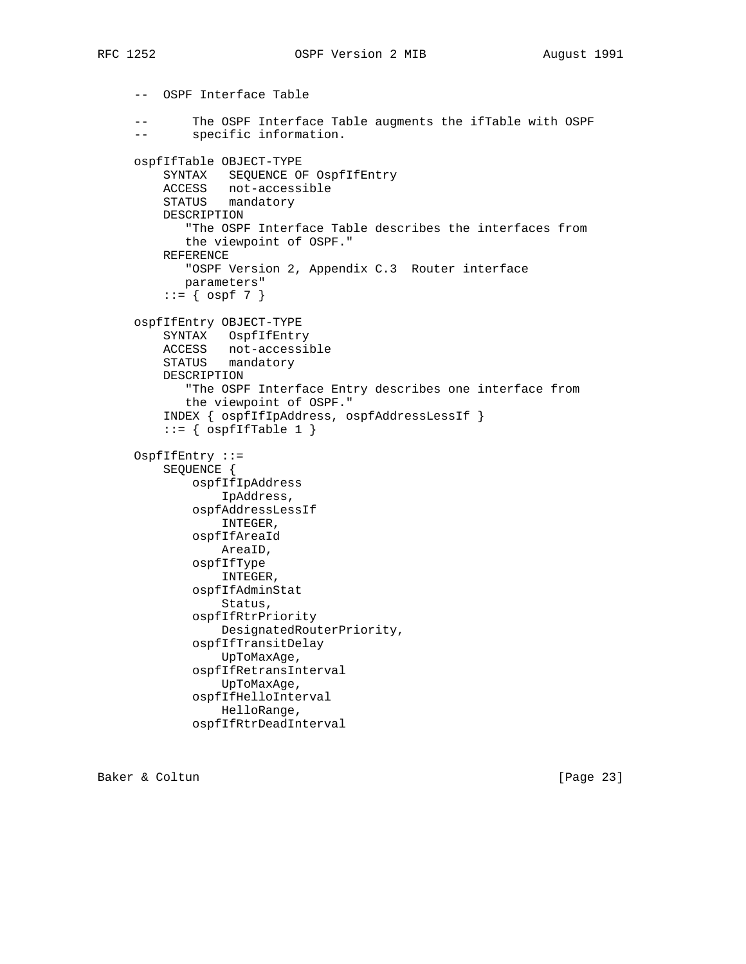-- OSPF Interface Table -- The OSPF Interface Table augments the ifTable with OSPF -- specific information. ospfIfTable OBJECT-TYPE SYNTAX SEQUENCE OF OspfIfEntry ACCESS not-accessible STATUS mandatory DESCRIPTION "The OSPF Interface Table describes the interfaces from the viewpoint of OSPF." REFERENCE "OSPF Version 2, Appendix C.3 Router interface parameters"  $::= \{ \text{ospf } 7 \}$  ospfIfEntry OBJECT-TYPE SYNTAX OspfIfEntry ACCESS not-accessible STATUS mandatory DESCRIPTION "The OSPF Interface Entry describes one interface from the viewpoint of OSPF." INDEX { ospfIfIpAddress, ospfAddressLessIf }  $::=$  { ospfIfTable 1 } OspfIfEntry ::= SEQUENCE { ospfIfIpAddress IpAddress, ospfAddressLessIf INTEGER, ospfIfAreaId AreaID, ospfIfType INTEGER, ospfIfAdminStat Status, ospfIfRtrPriority DesignatedRouterPriority, ospfIfTransitDelay UpToMaxAge, ospfIfRetransInterval UpToMaxAge, ospfIfHelloInterval HelloRange, ospfIfRtrDeadInterval

Baker & Coltun [Page 23]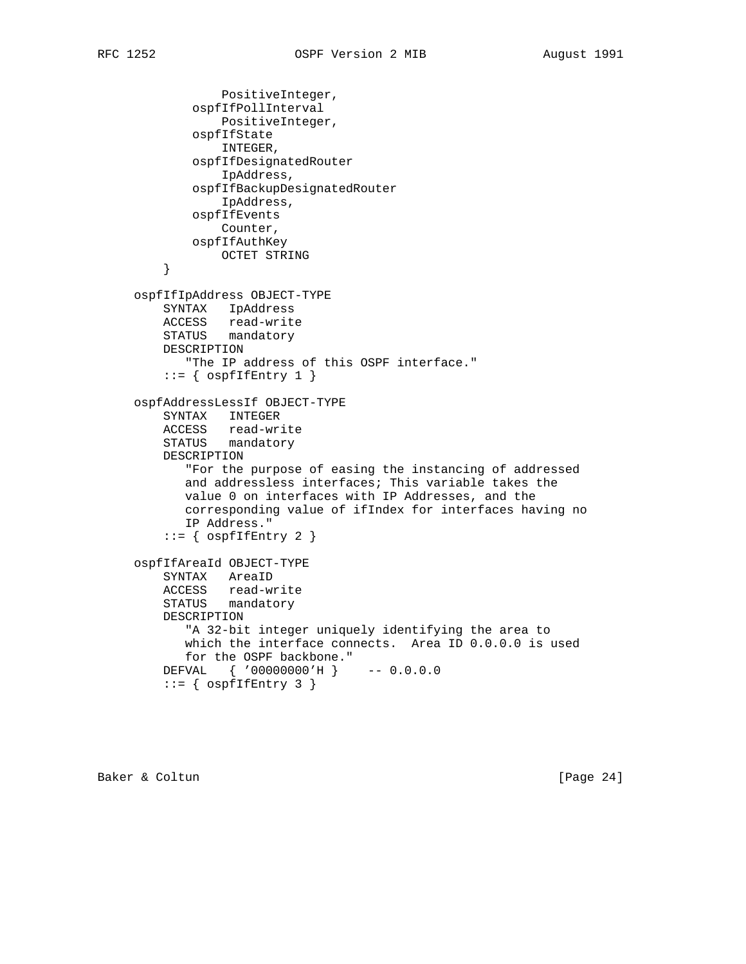```
 PositiveInteger,
             ospfIfPollInterval
                 PositiveInteger,
             ospfIfState
                 INTEGER,
             ospfIfDesignatedRouter
                 IpAddress,
             ospfIfBackupDesignatedRouter
                 IpAddress,
             ospfIfEvents
                Counter,
             ospfIfAuthKey
        OCTET STRING
 }
     ospfIfIpAddress OBJECT-TYPE
         SYNTAX IpAddress
         ACCESS read-write
         STATUS mandatory
         DESCRIPTION
            "The IP address of this OSPF interface."
        ::= { ospfIfEntry 1 }
     ospfAddressLessIf OBJECT-TYPE
         SYNTAX INTEGER
 ACCESS read-write
 STATUS mandatory
         DESCRIPTION
            "For the purpose of easing the instancing of addressed
            and addressless interfaces; This variable takes the
            value 0 on interfaces with IP Addresses, and the
            corresponding value of ifIndex for interfaces having no
            IP Address."
        ::= { ospfIfEntry 2 }
     ospfIfAreaId OBJECT-TYPE
         SYNTAX AreaID
 ACCESS read-write
 STATUS mandatory
         DESCRIPTION
            "A 32-bit integer uniquely identifying the area to
            which the interface connects. Area ID 0.0.0.0 is used
            for the OSPF backbone."
         DEFVAL { '00000000'H } -- 0.0.0.0
        ::= { ospfIfEntry 3 }
```
Baker & Coltun (Page 24)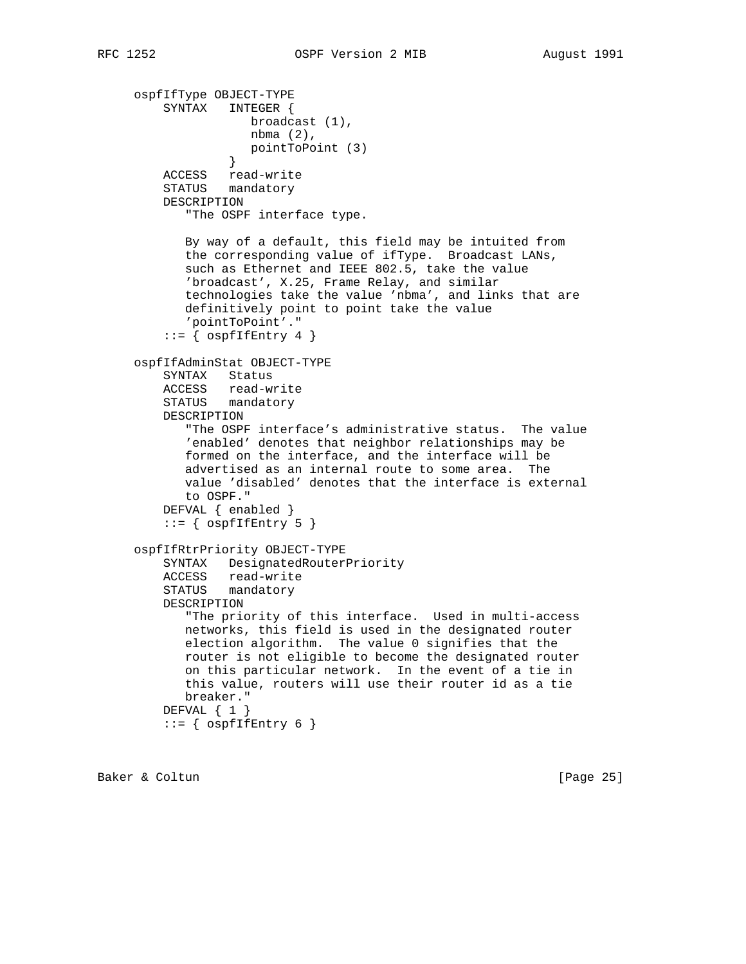ospfIfType OBJECT-TYPE SYNTAX INTEGER { broadcast (1), nbma (2), pointToPoint (3) } ACCESS read-write STATUS mandatory DESCRIPTION "The OSPF interface type. By way of a default, this field may be intuited from the corresponding value of ifType. Broadcast LANs, such as Ethernet and IEEE 802.5, take the value 'broadcast', X.25, Frame Relay, and similar technologies take the value 'nbma', and links that are definitively point to point take the value 'pointToPoint'."  $::=$  {  $ospfIfEntry 4$  } ospfIfAdminStat OBJECT-TYPE SYNTAX Status ACCESS read-write STATUS mandatory DESCRIPTION "The OSPF interface's administrative status. The value 'enabled' denotes that neighbor relationships may be formed on the interface, and the interface will be advertised as an internal route to some area. The value 'disabled' denotes that the interface is external to OSPF." DEFVAL { enabled }  $::=$  {  $ospfIfEntry 5$  } ospfIfRtrPriority OBJECT-TYPE SYNTAX DesignatedRouterPriority ACCESS read-write STATUS mandatory DESCRIPTION "The priority of this interface. Used in multi-access networks, this field is used in the designated router election algorithm. The value 0 signifies that the router is not eligible to become the designated router on this particular network. In the event of a tie in this value, routers will use their router id as a tie breaker." DEFVAL { 1 }  $::=$  {  $ospfIfEntry 6$  }

Baker & Coltun (Page 25)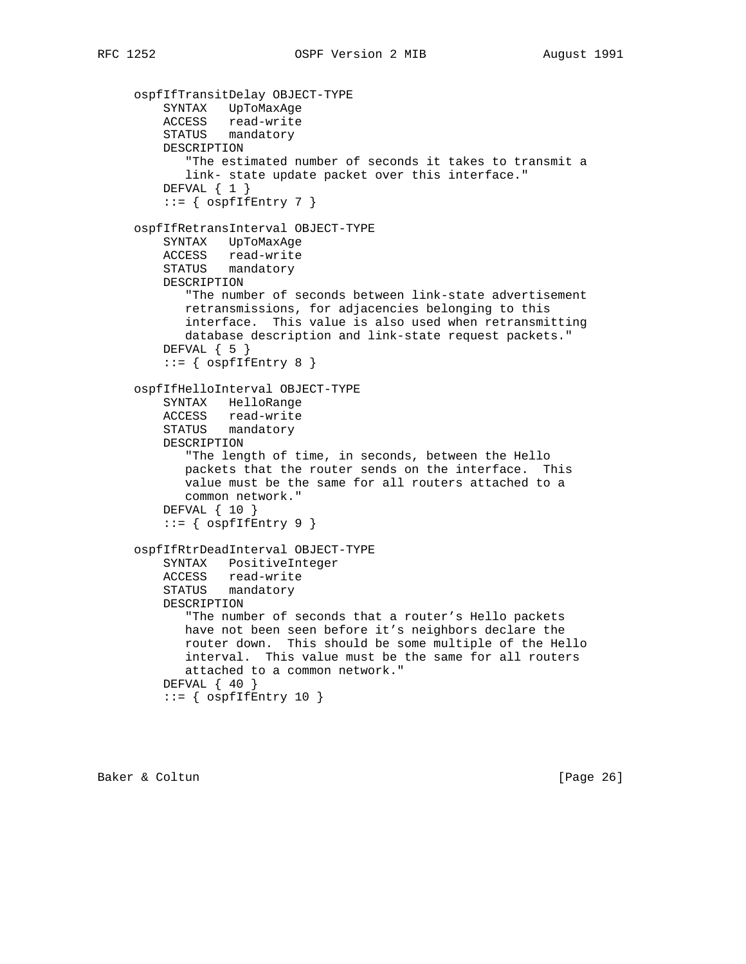```
 ospfIfTransitDelay OBJECT-TYPE
 SYNTAX UpToMaxAge
 ACCESS read-write
 STATUS mandatory
         DESCRIPTION
            "The estimated number of seconds it takes to transmit a
            link- state update packet over this interface."
        DEFVAL \{ 1 \}::= { ospfIfEntry 7 }
     ospfIfRetransInterval OBJECT-TYPE
         SYNTAX UpToMaxAge
         ACCESS read-write
         STATUS mandatory
         DESCRIPTION
            "The number of seconds between link-state advertisement
            retransmissions, for adjacencies belonging to this
            interface. This value is also used when retransmitting
            database description and link-state request packets."
        DEFVAL \{ 5 \}::= { ospfIfEntry 8 }
     ospfIfHelloInterval OBJECT-TYPE
         SYNTAX HelloRange
         ACCESS read-write
         STATUS mandatory
         DESCRIPTION
            "The length of time, in seconds, between the Hello
            packets that the router sends on the interface. This
            value must be the same for all routers attached to a
            common network."
         DEFVAL { 10 }
        ::= { ospfIfEntry 9 }
     ospfIfRtrDeadInterval OBJECT-TYPE
         SYNTAX PositiveInteger
         ACCESS read-write
         STATUS mandatory
         DESCRIPTION
            "The number of seconds that a router's Hello packets
            have not been seen before it's neighbors declare the
            router down. This should be some multiple of the Hello
            interval. This value must be the same for all routers
            attached to a common network."
        DEFVAL \{40\}::= { ospfIfEntry 10 }
```
Baker & Coltun (Page 26)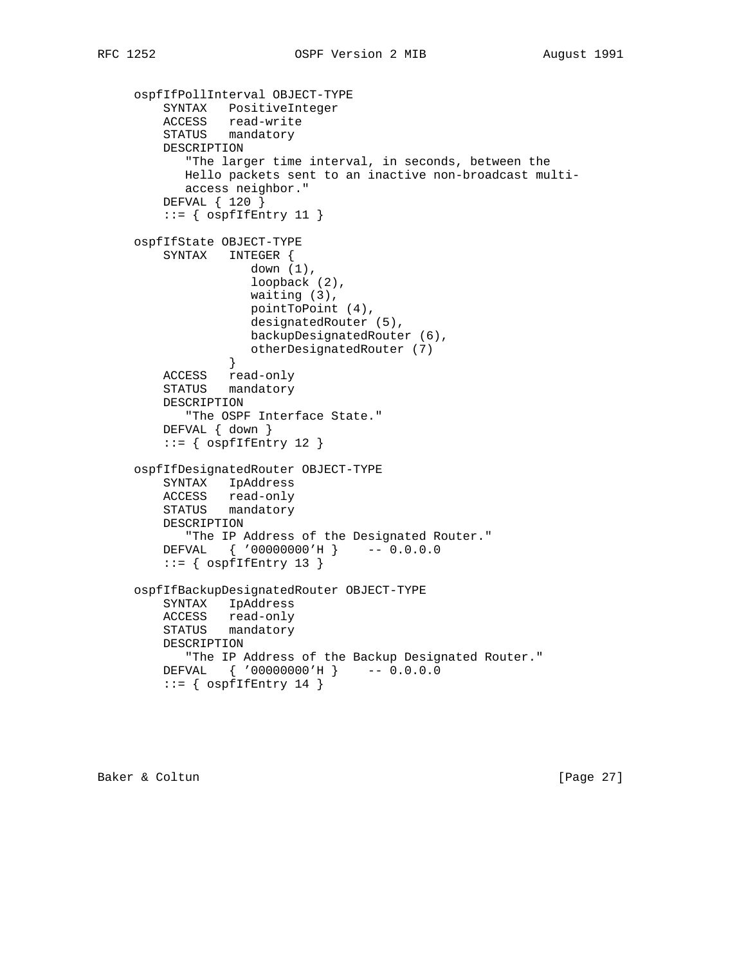```
 ospfIfPollInterval OBJECT-TYPE
 SYNTAX PositiveInteger
 ACCESS read-write
 STATUS mandatory
         DESCRIPTION
            "The larger time interval, in seconds, between the
            Hello packets sent to an inactive non-broadcast multi-
           access neighbor."
         DEFVAL { 120 }
        ::= { ospfIfEntry 11 }
     ospfIfState OBJECT-TYPE
         SYNTAX INTEGER {
                   down (1),
                     loopback (2),
                     waiting (3),
                    pointToPoint (4),
                     designatedRouter (5),
                    backupDesignatedRouter (6),
                  otherDesignatedRouter (7)
 }
         ACCESS read-only
         STATUS mandatory
         DESCRIPTION
            "The OSPF Interface State."
         DEFVAL { down }
        ::= { ospfIfEntry 12 }
     ospfIfDesignatedRouter OBJECT-TYPE
         SYNTAX IpAddress
         ACCESS read-only
         STATUS mandatory
         DESCRIPTION
            "The IP Address of the Designated Router."
         DEFVAL { '00000000'H } -- 0.0.0.0
        ::= { ospfIfEntry 13 }
     ospfIfBackupDesignatedRouter OBJECT-TYPE
         SYNTAX IpAddress
         ACCESS read-only
         STATUS mandatory
         DESCRIPTION
            "The IP Address of the Backup Designated Router."
         DEFVAL { '00000000'H } -- 0.0.0.0
        ::= { ospfIfEntry 14 }
```
Baker & Coltun (Page 27)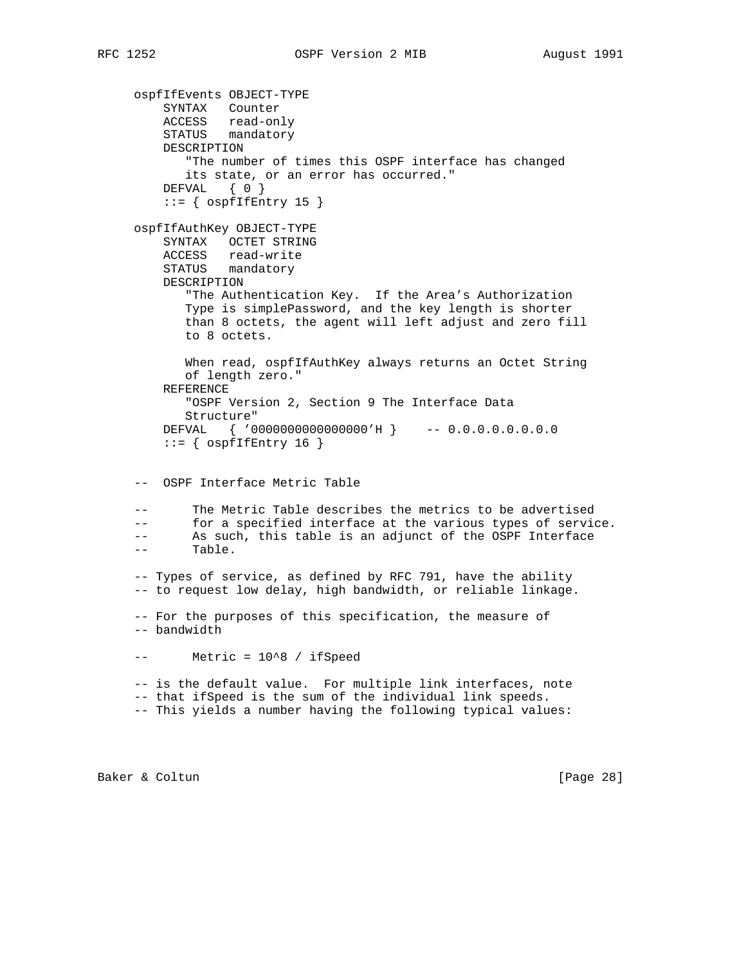ospfIfEvents OBJECT-TYPE SYNTAX Counter ACCESS read-only STATUS mandatory DESCRIPTION "The number of times this OSPF interface has changed its state, or an error has occurred." DEFVAL { 0 }  $::=$  {  $ospfIfEntry 15$  } ospfIfAuthKey OBJECT-TYPE SYNTAX OCTET STRING ACCESS read-write STATUS mandatory DESCRIPTION "The Authentication Key. If the Area's Authorization Type is simplePassword, and the key length is shorter than 8 octets, the agent will left adjust and zero fill to 8 octets. When read, ospfIfAuthKey always returns an Octet String of length zero." REFERENCE "OSPF Version 2, Section 9 The Interface Data Structure" DEFVAL { '0000000000000000'H } -- 0.0.0.0.0.0.0.0  $::=$  {  $ospfIfEntry 16$  } -- OSPF Interface Metric Table The Metric Table describes the metrics to be advertised -- for a specified interface at the various types of service. -- As such, this table is an adjunct of the OSPF Interface -- Table. -- Types of service, as defined by RFC 791, have the ability -- to request low delay, high bandwidth, or reliable linkage. -- For the purposes of this specification, the measure of -- bandwidth -- Metric = 10^8 / ifSpeed -- is the default value. For multiple link interfaces, note -- that ifSpeed is the sum of the individual link speeds. -- This yields a number having the following typical values:

Baker & Coltun [Page 28]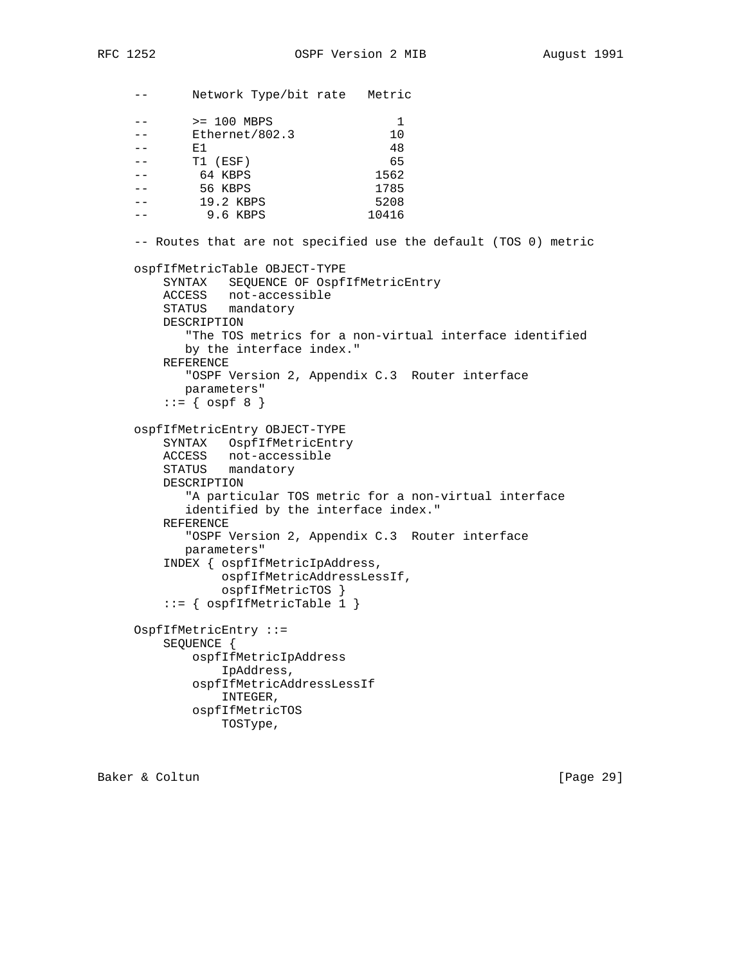-- Network Type/bit rate Metric

-- > 200 MBPS 1 -- Ethernet/802.3 10  $--$  E1 48 -- T1 (ESF) 65 -- 64 KBPS 1562 -- 56 KBPS 1785 -- 19.2 KBPS 5208 -- 9.6 KBPS 10416 -- Routes that are not specified use the default (TOS 0) metric ospfIfMetricTable OBJECT-TYPE SYNTAX SEQUENCE OF OspfIfMetricEntry ACCESS not-accessible STATUS mandatory DESCRIPTION "The TOS metrics for a non-virtual interface identified by the interface index." REFERENCE "OSPF Version 2, Appendix C.3 Router interface parameters"  $::=$  {  $ospf 8$  } ospfIfMetricEntry OBJECT-TYPE SYNTAX OspfIfMetricEntry ACCESS not-accessible STATUS mandatory DESCRIPTION "A particular TOS metric for a non-virtual interface identified by the interface index." REFERENCE "OSPF Version 2, Appendix C.3 Router interface parameters" INDEX { ospfIfMetricIpAddress, ospfIfMetricAddressLessIf, ospfIfMetricTOS } ::= { ospfIfMetricTable 1 } OspfIfMetricEntry ::= SEQUENCE { ospfIfMetricIpAddress IpAddress, ospfIfMetricAddressLessIf INTEGER, ospfIfMetricTOS TOSType,

Baker & Coltun [Page 29]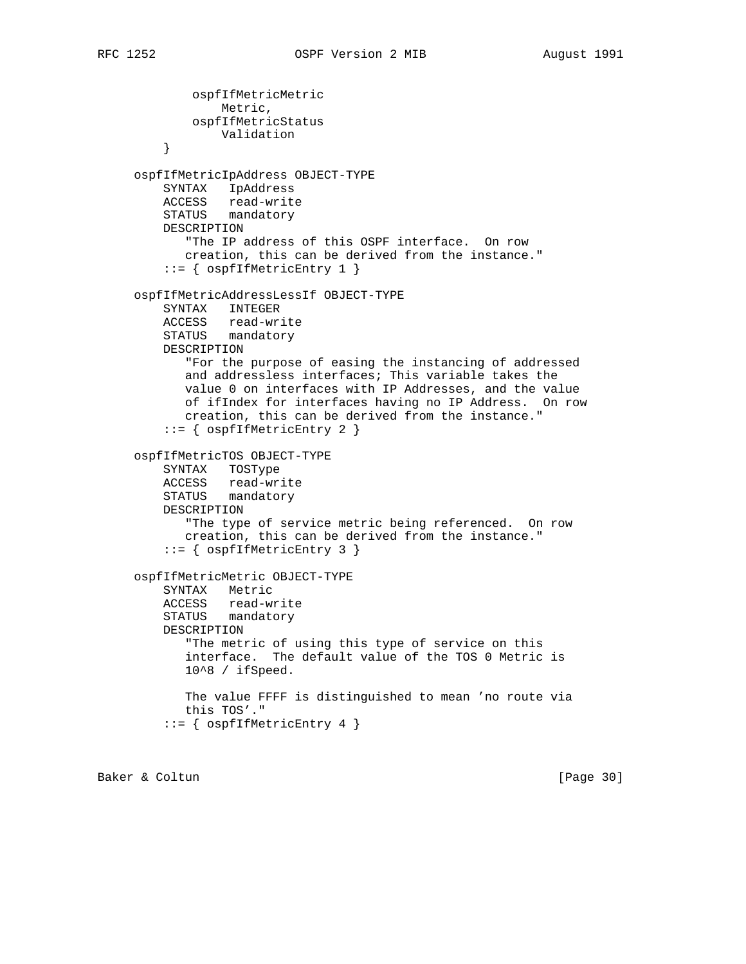```
 ospfIfMetricMetric
                 Metric,
             ospfIfMetricStatus
                 Validation
 }
      ospfIfMetricIpAddress OBJECT-TYPE
         SYNTAX IpAddress
         ACCESS read-write
         STATUS mandatory
         DESCRIPTION
             "The IP address of this OSPF interface. On row
            creation, this can be derived from the instance."
          ::= { ospfIfMetricEntry 1 }
     ospfIfMetricAddressLessIf OBJECT-TYPE
         SYNTAX INTEGER
         ACCESS read-write
         STATUS mandatory
         DESCRIPTION
            "For the purpose of easing the instancing of addressed
            and addressless interfaces; This variable takes the
            value 0 on interfaces with IP Addresses, and the value
            of ifIndex for interfaces having no IP Address. On row
            creation, this can be derived from the instance."
          ::= { ospfIfMetricEntry 2 }
     ospfIfMetricTOS OBJECT-TYPE
         SYNTAX TOSType
         ACCESS read-write
         STATUS mandatory
         DESCRIPTION
             "The type of service metric being referenced. On row
            creation, this can be derived from the instance."
          ::= { ospfIfMetricEntry 3 }
     ospfIfMetricMetric OBJECT-TYPE
         SYNTAX Metric
         ACCESS read-write
         STATUS mandatory
         DESCRIPTION
            "The metric of using this type of service on this
            interface. The default value of the TOS 0 Metric is
            10^8 / ifSpeed.
            The value FFFF is distinguished to mean 'no route via
            this TOS'."
          ::= { ospfIfMetricEntry 4 }
```
Baker & Coltun (Page 30)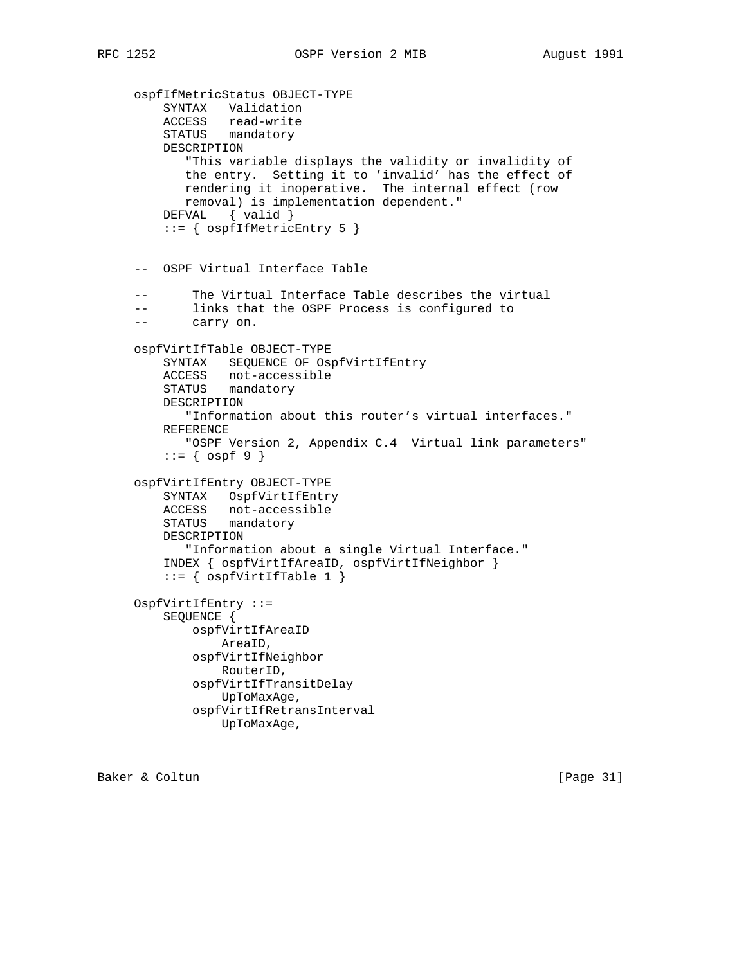```
 ospfIfMetricStatus OBJECT-TYPE
 SYNTAX Validation
 ACCESS read-write
 STATUS mandatory
         DESCRIPTION
            "This variable displays the validity or invalidity of
            the entry. Setting it to 'invalid' has the effect of
            rendering it inoperative. The internal effect (row
            removal) is implementation dependent."
         DEFVAL { valid }
         ::= { ospfIfMetricEntry 5 }
     -- OSPF Virtual Interface Table
            The Virtual Interface Table describes the virtual
     -- links that the OSPF Process is configured to
     -- carry on.
     ospfVirtIfTable OBJECT-TYPE
         SYNTAX SEQUENCE OF OspfVirtIfEntry
         ACCESS not-accessible
         STATUS mandatory
         DESCRIPTION
            "Information about this router's virtual interfaces."
         REFERENCE
            "OSPF Version 2, Appendix C.4 Virtual link parameters"
        ::= { ospf 9 }
     ospfVirtIfEntry OBJECT-TYPE
         SYNTAX OspfVirtIfEntry
         ACCESS not-accessible
         STATUS mandatory
         DESCRIPTION
            "Information about a single Virtual Interface."
         INDEX { ospfVirtIfAreaID, ospfVirtIfNeighbor }
         ::= { ospfVirtIfTable 1 }
     OspfVirtIfEntry ::=
         SEQUENCE {
             ospfVirtIfAreaID
                 AreaID,
             ospfVirtIfNeighbor
                 RouterID,
             ospfVirtIfTransitDelay
                 UpToMaxAge,
             ospfVirtIfRetransInterval
                 UpToMaxAge,
```
Baker & Coltun [Page 31]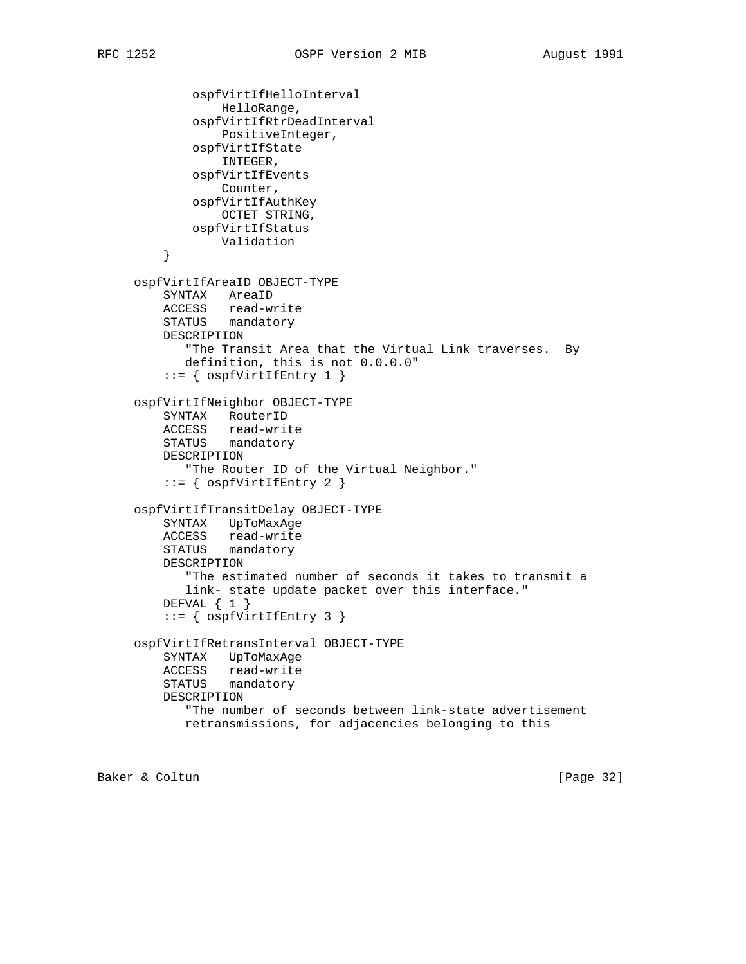```
 ospfVirtIfHelloInterval
                 HelloRange,
             ospfVirtIfRtrDeadInterval
                  PositiveInteger,
             ospfVirtIfState
                  INTEGER,
             ospfVirtIfEvents
                 Counter,
             ospfVirtIfAuthKey
                 OCTET STRING,
             ospfVirtIfStatus
                 Validation
         }
     ospfVirtIfAreaID OBJECT-TYPE
         SYNTAX AreaID
         ACCESS read-write
         STATUS mandatory
         DESCRIPTION
            "The Transit Area that the Virtual Link traverses. By
            definition, this is not 0.0.0.0"
          ::= { ospfVirtIfEntry 1 }
     ospfVirtIfNeighbor OBJECT-TYPE
         SYNTAX RouterID
 ACCESS read-write
 STATUS mandatory
         DESCRIPTION
             "The Router ID of the Virtual Neighbor."
         ::= { ospfvirtIfEntry 2 }
     ospfVirtIfTransitDelay OBJECT-TYPE
         SYNTAX UpToMaxAge
         ACCESS read-write
         STATUS mandatory
         DESCRIPTION
            "The estimated number of seconds it takes to transmit a
            link- state update packet over this interface."
        DEFVAL { 1 }
          ::= { ospfVirtIfEntry 3 }
     ospfVirtIfRetransInterval OBJECT-TYPE
         SYNTAX UpToMaxAge
         ACCESS read-write
         STATUS mandatory
         DESCRIPTION
             "The number of seconds between link-state advertisement
            retransmissions, for adjacencies belonging to this
```
Baker & Coltun (Page 32)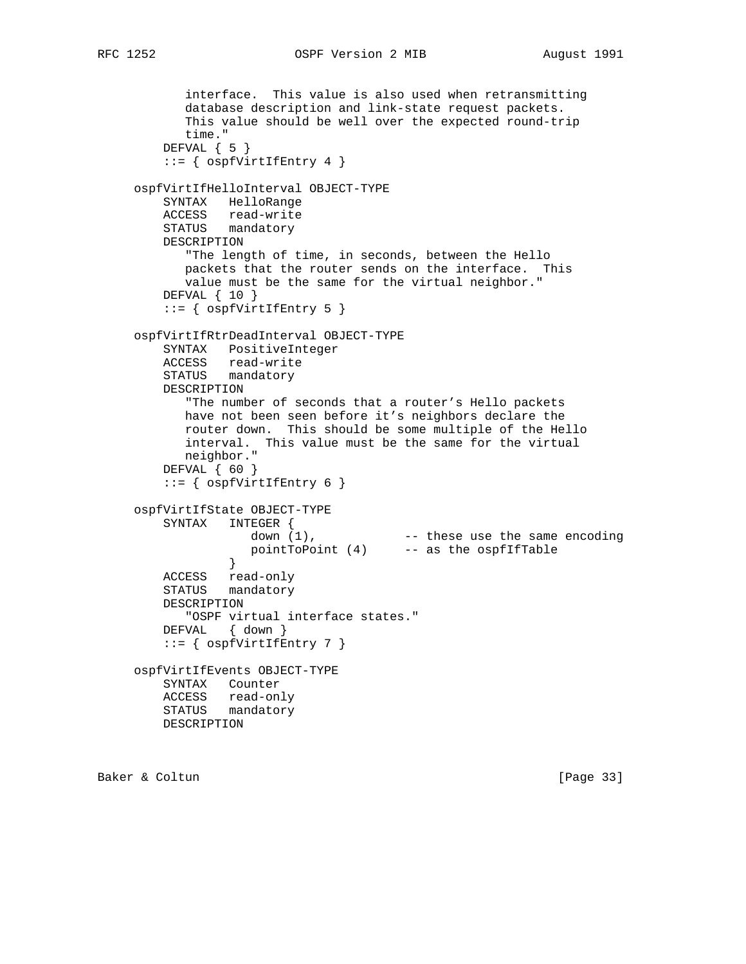```
 interface. This value is also used when retransmitting
            database description and link-state request packets.
            This value should be well over the expected round-trip
            time."
         DEFVAL { 5 }
         ::= { ospfVirtIfEntry 4 }
     ospfVirtIfHelloInterval OBJECT-TYPE
         SYNTAX HelloRange
         ACCESS read-write
         STATUS mandatory
         DESCRIPTION
            "The length of time, in seconds, between the Hello
            packets that the router sends on the interface. This
            value must be the same for the virtual neighbor."
         DEFVAL { 10 }
        ::= { ospfVirtIffEntry 5 }
     ospfVirtIfRtrDeadInterval OBJECT-TYPE
         SYNTAX PositiveInteger
         ACCESS read-write
         STATUS mandatory
         DESCRIPTION
            "The number of seconds that a router's Hello packets
           have not been seen before it's neighbors declare the
           router down. This should be some multiple of the Hello
            interval. This value must be the same for the virtual
            neighbor."
         DEFVAL { 60 }
         ::= { ospfVirtIfEntry 6 }
     ospfVirtIfState OBJECT-TYPE
        SYNTAX INTEGER {
down (1), These use the same encoding
 pointToPoint (4) -- as the ospfIfTable
 }
```

```
Baker & Coltun [Page 33]
```
 ACCESS read-only STATUS mandatory

DEFVAL { down }

 ospfVirtIfEvents OBJECT-TYPE SYNTAX Counter ACCESS read-only STATUS mandatory

 $::=$  {  $ospfVirtIfEntry 7$  }

"OSPF virtual interface states."

DESCRIPTION

DESCRIPTION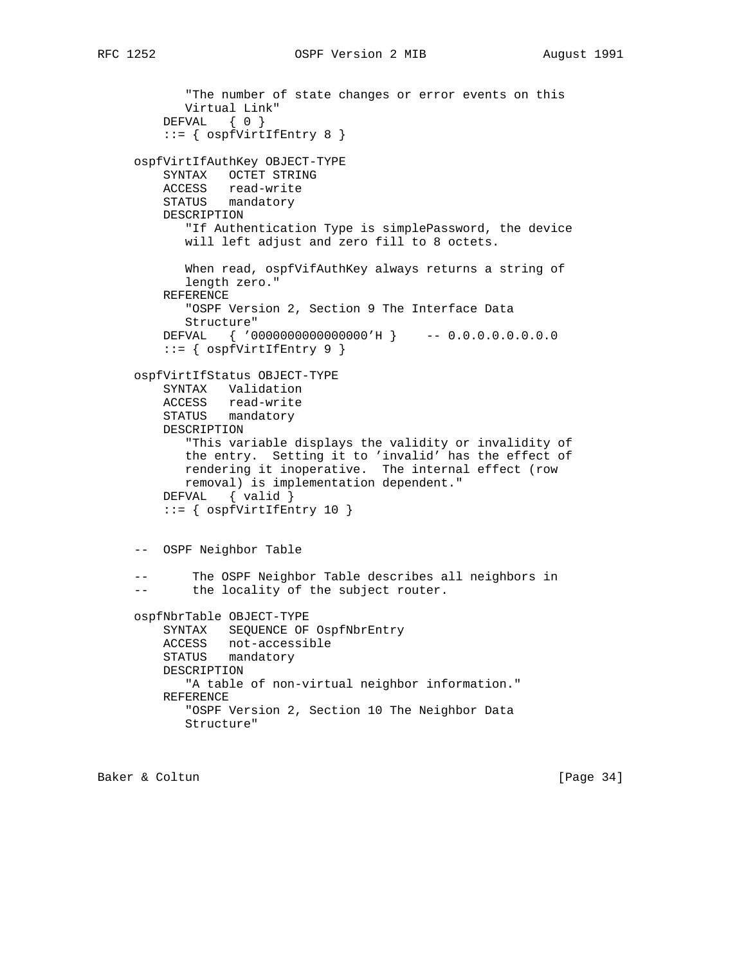```
 "The number of state changes or error events on this
       Virtual Link"
    DEFVAL { 0 }
     ::= { ospfVirtIfEntry 8 }
 ospfVirtIfAuthKey OBJECT-TYPE
     SYNTAX OCTET STRING
    ACCESS read-write
    STATUS mandatory
     DESCRIPTION
        "If Authentication Type is simplePassword, the device
       will left adjust and zero fill to 8 octets.
        When read, ospfVifAuthKey always returns a string of
        length zero."
     REFERENCE
        "OSPF Version 2, Section 9 The Interface Data
       Structure"
    DEFVAL { '0000000000000000'H } -- 0.0.0.0.0.0.0.0
     ::= { ospfVirtIfEntry 9 }
 ospfVirtIfStatus OBJECT-TYPE
     SYNTAX Validation
    ACCESS read-write
    STATUS mandatory
     DESCRIPTION
        "This variable displays the validity or invalidity of
       the entry. Setting it to 'invalid' has the effect of
       rendering it inoperative. The internal effect (row
       removal) is implementation dependent."
     DEFVAL { valid }
    ::= { ospfVirtIfEntry 10 }
 -- OSPF Neighbor Table
 -- The OSPF Neighbor Table describes all neighbors in
 -- the locality of the subject router.
 ospfNbrTable OBJECT-TYPE
     SYNTAX SEQUENCE OF OspfNbrEntry
     ACCESS not-accessible
     STATUS mandatory
     DESCRIPTION
       "A table of non-virtual neighbor information."
     REFERENCE
        "OSPF Version 2, Section 10 The Neighbor Data
       Structure"
```
Baker & Coltun [Page 34]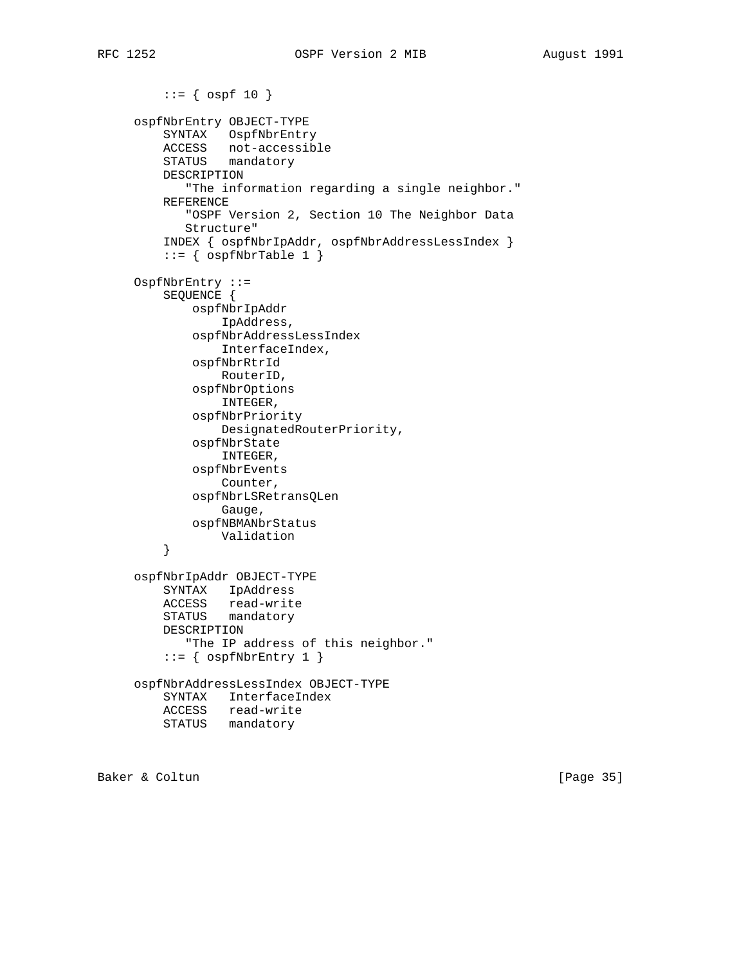```
::= \{ \text{ospf } 10 \} ospfNbrEntry OBJECT-TYPE
          SYNTAX OspfNbrEntry
          ACCESS not-accessible
          STATUS mandatory
         DESCRIPTION
             "The information regarding a single neighbor."
          REFERENCE
             "OSPF Version 2, Section 10 The Neighbor Data
             Structure"
          INDEX { ospfNbrIpAddr, ospfNbrAddressLessIndex }
          ::= { ospfNbrTable 1 }
      OspfNbrEntry ::=
          SEQUENCE {
              ospfNbrIpAddr
                  IpAddress,
              ospfNbrAddressLessIndex
                  InterfaceIndex,
              ospfNbrRtrId
                  RouterID,
              ospfNbrOptions
                  INTEGER,
              ospfNbrPriority
                  DesignatedRouterPriority,
              ospfNbrState
                  INTEGER,
              ospfNbrEvents
                  Counter,
              ospfNbrLSRetransQLen
                 Gauge,
              ospfNBMANbrStatus
                 Validation
          }
      ospfNbrIpAddr OBJECT-TYPE
          SYNTAX IpAddress
 ACCESS read-write
 STATUS mandatory
         DESCRIPTION
             "The IP address of this neighbor."
         ::= { ospfNbrEntry 1 }
      ospfNbrAddressLessIndex OBJECT-TYPE
          SYNTAX InterfaceIndex
         ACCESS read-write
         STATUS mandatory
```
Baker & Coltun [Page 35]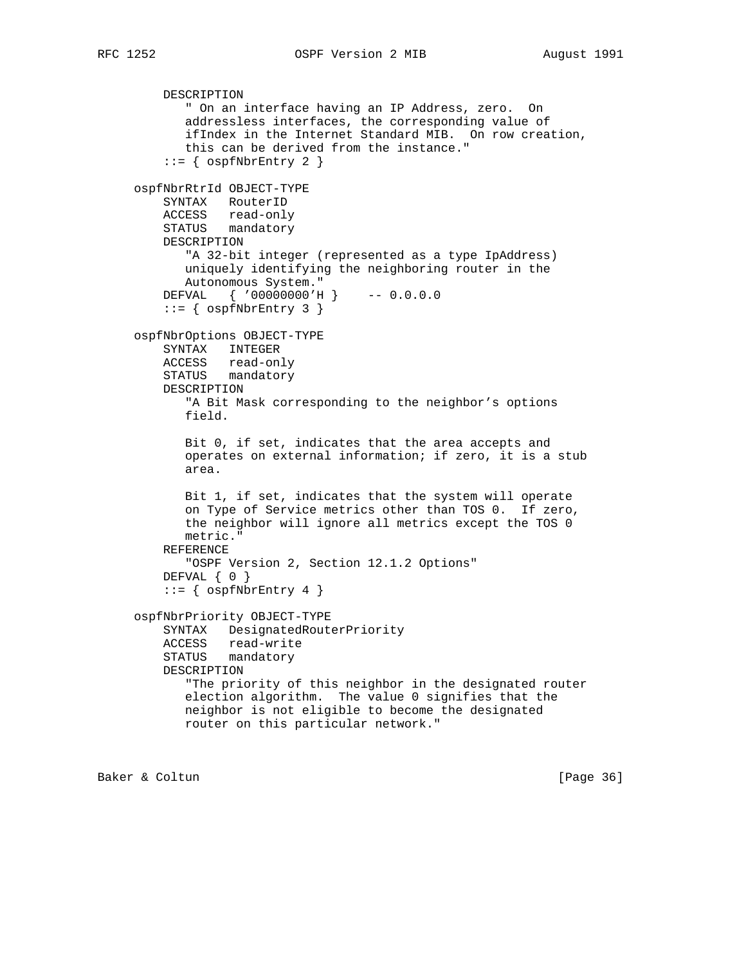```
RFC 1252 OSPF Version 2 MIB August 1991
```

```
 DESCRIPTION
       " On an interface having an IP Address, zero. On
        addressless interfaces, the corresponding value of
        ifIndex in the Internet Standard MIB. On row creation,
        this can be derived from the instance."
    ::= { ospfNbrEntry 2 }
 ospfNbrRtrId OBJECT-TYPE
    SYNTAX RouterID
    ACCESS read-only
    STATUS mandatory
    DESCRIPTION
        "A 32-bit integer (represented as a type IpAddress)
        uniquely identifying the neighboring router in the
       Autonomous System."
    DEFVAL { '00000000'H } -- 0.0.0.0
    ::= { ospfNbrEntry 3 }
 ospfNbrOptions OBJECT-TYPE
    SYNTAX INTEGER
    ACCESS read-only
    STATUS mandatory
    DESCRIPTION
        "A Bit Mask corresponding to the neighbor's options
       field.
        Bit 0, if set, indicates that the area accepts and
        operates on external information; if zero, it is a stub
        area.
       Bit 1, if set, indicates that the system will operate
        on Type of Service metrics other than TOS 0. If zero,
        the neighbor will ignore all metrics except the TOS 0
       metric."
    REFERENCE
       "OSPF Version 2, Section 12.1.2 Options"
   DEFVAL { 0 }
    ::= { ospfNbrEntry 4 }
 ospfNbrPriority OBJECT-TYPE
    SYNTAX DesignatedRouterPriority
    ACCESS read-write
    STATUS mandatory
    DESCRIPTION
        "The priority of this neighbor in the designated router
       election algorithm. The value 0 signifies that the
       neighbor is not eligible to become the designated
       router on this particular network."
```
Baker & Coltun (Page 36)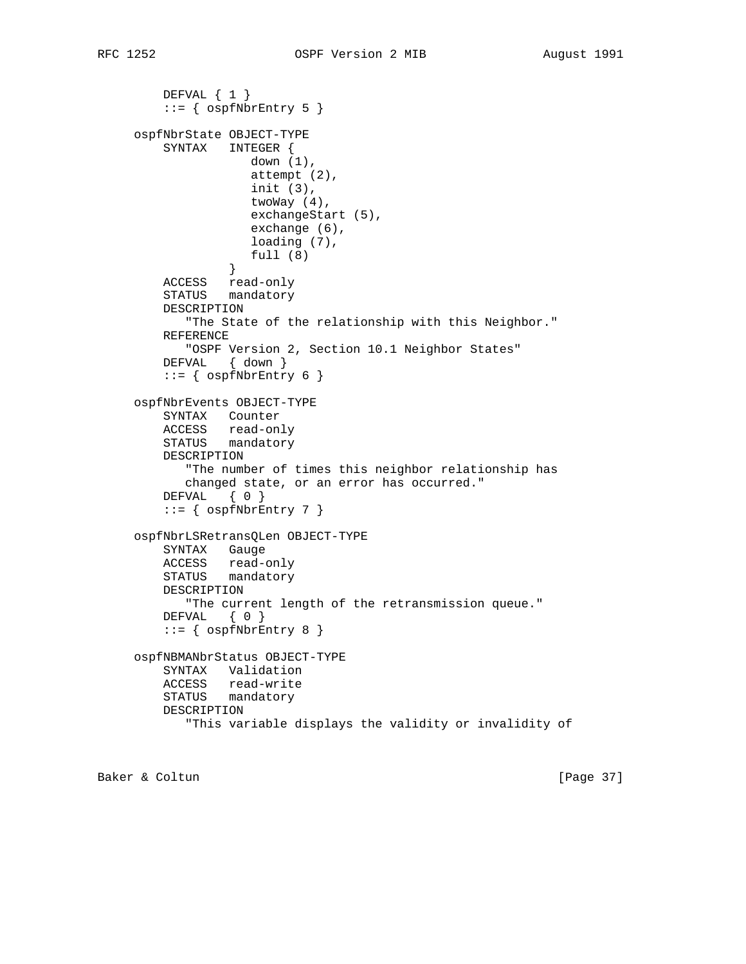```
 DEFVAL { 1 }
        ::= { ospfNbrEntry 5 }
     ospfNbrState OBJECT-TYPE
         SYNTAX INTEGER {
                     down (1),
                     attempt (2),
                     init (3),
                     twoWay (4),
                     exchangeStart (5),
                     exchange (6),
                     loading (7),
                 full (8) }
         ACCESS read-only
         STATUS mandatory
         DESCRIPTION
            "The State of the relationship with this Neighbor."
         REFERENCE
            "OSPF Version 2, Section 10.1 Neighbor States"
         DEFVAL { down }
        ::= { ospfNbrEntry 6 }
     ospfNbrEvents OBJECT-TYPE
         SYNTAX Counter
 ACCESS read-only
 STATUS mandatory
         DESCRIPTION
            "The number of times this neighbor relationship has
            changed state, or an error has occurred."
         DEFVAL { 0 }
        ::= { ospfNbrEntry 7 }
     ospfNbrLSRetransQLen OBJECT-TYPE
         SYNTAX Gauge
         ACCESS read-only
         STATUS mandatory
         DESCRIPTION
            "The current length of the retransmission queue."
        DEFVAL { 0 }
        ::= { ospfNbrEntry 8 }
     ospfNBMANbrStatus OBJECT-TYPE
         SYNTAX Validation
         ACCESS read-write
         STATUS mandatory
         DESCRIPTION
            "This variable displays the validity or invalidity of
```
Baker & Coltun [Page 37]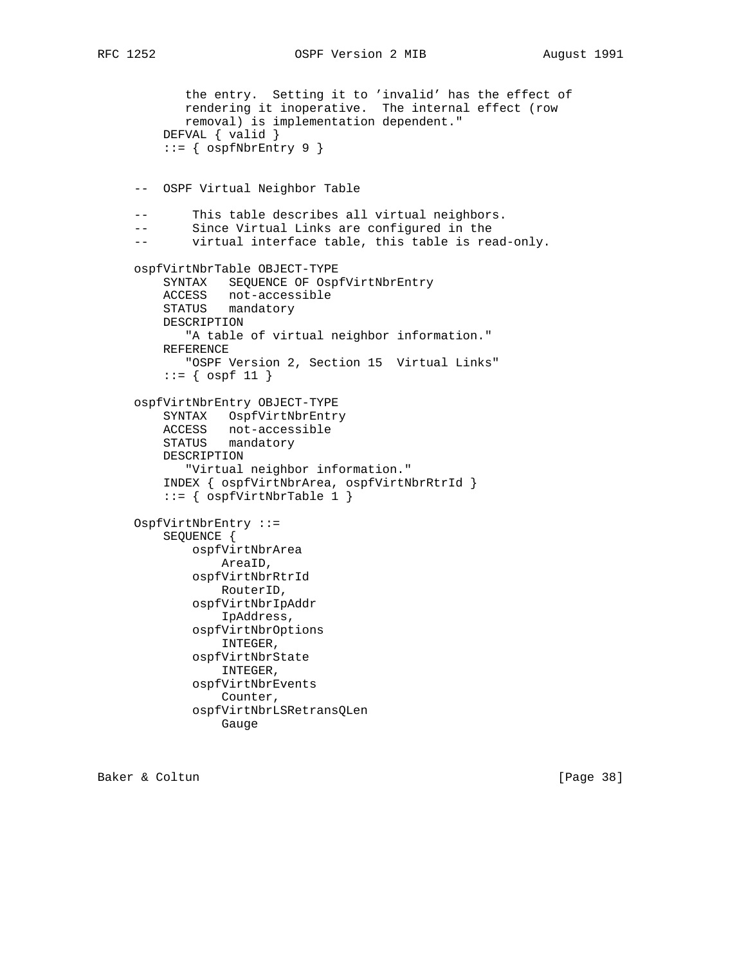```
RFC 1252 OSPF Version 2 MIB August 1991
```

```
 the entry. Setting it to 'invalid' has the effect of
            rendering it inoperative. The internal effect (row
            removal) is implementation dependent."
         DEFVAL { valid }
         ::= { ospfNbrEntry 9 }
     -- OSPF Virtual Neighbor Table
     -- This table describes all virtual neighbors.
     -- Since Virtual Links are configured in the
     -- virtual interface table, this table is read-only.
     ospfVirtNbrTable OBJECT-TYPE
         SYNTAX SEQUENCE OF OspfVirtNbrEntry
         ACCESS not-accessible
         STATUS mandatory
         DESCRIPTION
            "A table of virtual neighbor information."
         REFERENCE
            "OSPF Version 2, Section 15 Virtual Links"
         ::= { ospf 11 }
     ospfVirtNbrEntry OBJECT-TYPE
         SYNTAX OspfVirtNbrEntry
 ACCESS not-accessible
 STATUS mandatory
         DESCRIPTION
            "Virtual neighbor information."
         INDEX { ospfVirtNbrArea, ospfVirtNbrRtrId }
         ::= { ospfVirtNbrTable 1 }
     OspfVirtNbrEntry ::=
         SEQUENCE {
             ospfVirtNbrArea
                 AreaID,
             ospfVirtNbrRtrId
                 RouterID,
             ospfVirtNbrIpAddr
                 IpAddress,
             ospfVirtNbrOptions
                 INTEGER,
             ospfVirtNbrState
                 INTEGER,
             ospfVirtNbrEvents
                 Counter,
             ospfVirtNbrLSRetransQLen
                 Gauge
```
Baker & Coltun [Page 38]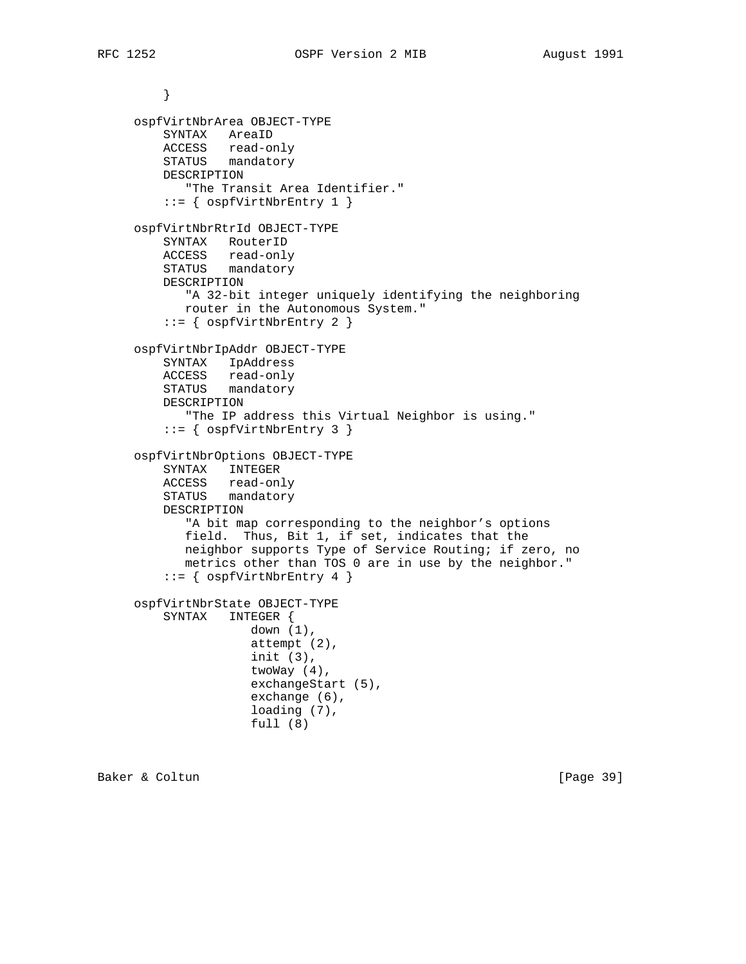```
 }
     ospfVirtNbrArea OBJECT-TYPE
         SYNTAX AreaID
 ACCESS read-only
 STATUS mandatory
         DESCRIPTION
            "The Transit Area Identifier."
         ::= { ospfVirtNbrEntry 1 }
     ospfVirtNbrRtrId OBJECT-TYPE
         SYNTAX RouterID
         ACCESS read-only
         STATUS mandatory
         DESCRIPTION
            "A 32-bit integer uniquely identifying the neighboring
            router in the Autonomous System."
          ::= { ospfVirtNbrEntry 2 }
     ospfVirtNbrIpAddr OBJECT-TYPE
         SYNTAX IpAddress
         ACCESS read-only
         STATUS mandatory
         DESCRIPTION
             "The IP address this Virtual Neighbor is using."
          ::= { ospfVirtNbrEntry 3 }
     ospfVirtNbrOptions OBJECT-TYPE
         SYNTAX INTEGER
         ACCESS read-only
         STATUS mandatory
         DESCRIPTION
             "A bit map corresponding to the neighbor's options
            field. Thus, Bit 1, if set, indicates that the
            neighbor supports Type of Service Routing; if zero, no
            metrics other than TOS 0 are in use by the neighbor."
          ::= { ospfVirtNbrEntry 4 }
     ospfVirtNbrState OBJECT-TYPE
         SYNTAX INTEGER {
                     down (1),
                     attempt (2),
                     init (3),
                     twoWay (4),
                     exchangeStart (5),
                     exchange (6),
                     loading (7),
                     full (8)
```
Baker & Coltun [Page 39]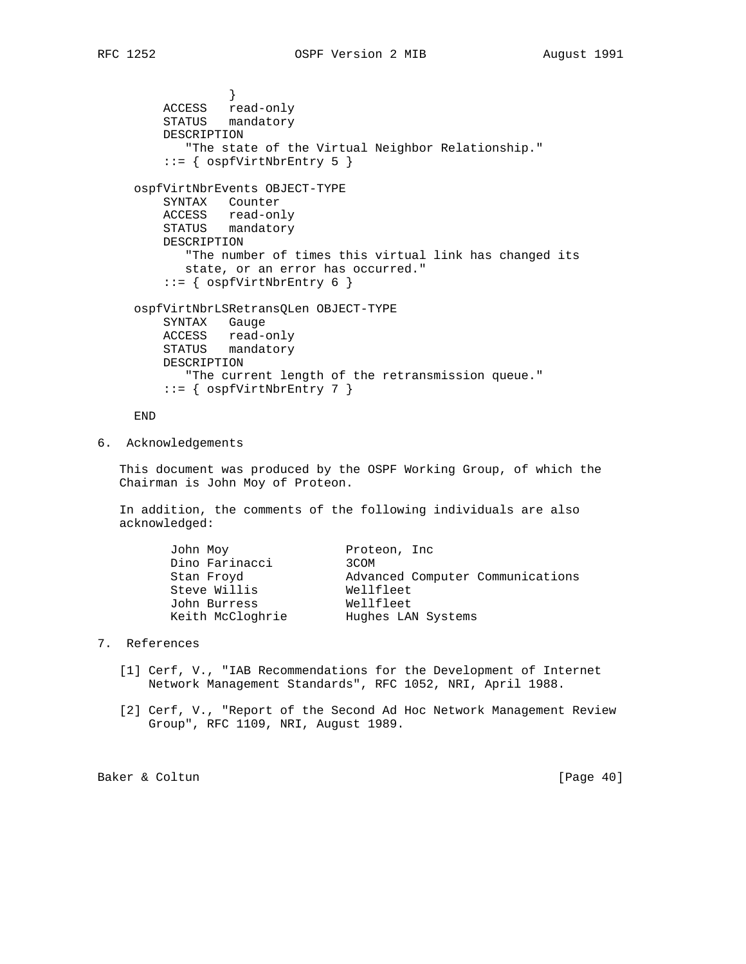```
 }
 ACCESS read-only
 STATUS mandatory
         DESCRIPTION
            "The state of the Virtual Neighbor Relationship."
         ::= { ospfVirtNbrEntry 5 }
     ospfVirtNbrEvents OBJECT-TYPE
         SYNTAX Counter
         ACCESS read-only
         STATUS mandatory
         DESCRIPTION
           "The number of times this virtual link has changed its
           state, or an error has occurred."
        ::= { ospfVirtNbrEntry 6 }
     ospfVirtNbrLSRetransQLen OBJECT-TYPE
         SYNTAX Gauge
         ACCESS read-only
         STATUS mandatory
         DESCRIPTION
            "The current length of the retransmission queue."
         ::= { ospfVirtNbrEntry 7 }
```
END

6. Acknowledgements

 This document was produced by the OSPF Working Group, of which the Chairman is John Moy of Proteon.

 In addition, the comments of the following individuals are also acknowledged:

| John Moy         | Proteon, Inc.                    |
|------------------|----------------------------------|
| Dino Farinacci   | 3COM                             |
| Stan Froyd       | Advanced Computer Communications |
| Steve Willis     | Wellfleet                        |
| John Burress     | Wellfleet                        |
| Keith McCloghrie | Hughes LAN Systems               |
|                  |                                  |

### 7. References

- [1] Cerf, V., "IAB Recommendations for the Development of Internet Network Management Standards", RFC 1052, NRI, April 1988.
- [2] Cerf, V., "Report of the Second Ad Hoc Network Management Review Group", RFC 1109, NRI, August 1989.

Baker & Coltun [Page 40]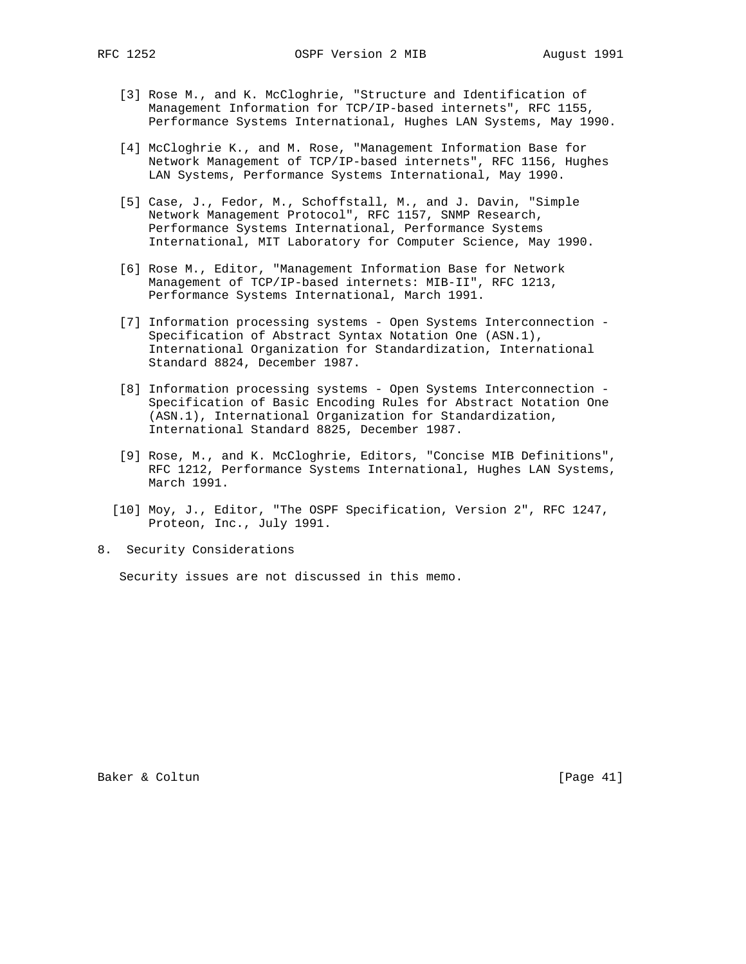- [3] Rose M., and K. McCloghrie, "Structure and Identification of Management Information for TCP/IP-based internets", RFC 1155, Performance Systems International, Hughes LAN Systems, May 1990.
- [4] McCloghrie K., and M. Rose, "Management Information Base for Network Management of TCP/IP-based internets", RFC 1156, Hughes LAN Systems, Performance Systems International, May 1990.
- [5] Case, J., Fedor, M., Schoffstall, M., and J. Davin, "Simple Network Management Protocol", RFC 1157, SNMP Research, Performance Systems International, Performance Systems International, MIT Laboratory for Computer Science, May 1990.
- [6] Rose M., Editor, "Management Information Base for Network Management of TCP/IP-based internets: MIB-II", RFC 1213, Performance Systems International, March 1991.
- [7] Information processing systems Open Systems Interconnection Specification of Abstract Syntax Notation One (ASN.1), International Organization for Standardization, International Standard 8824, December 1987.
- [8] Information processing systems Open Systems Interconnection Specification of Basic Encoding Rules for Abstract Notation One (ASN.1), International Organization for Standardization, International Standard 8825, December 1987.
- [9] Rose, M., and K. McCloghrie, Editors, "Concise MIB Definitions", RFC 1212, Performance Systems International, Hughes LAN Systems, March 1991.
- [10] Moy, J., Editor, "The OSPF Specification, Version 2", RFC 1247, Proteon, Inc., July 1991.
- 8. Security Considerations

Security issues are not discussed in this memo.